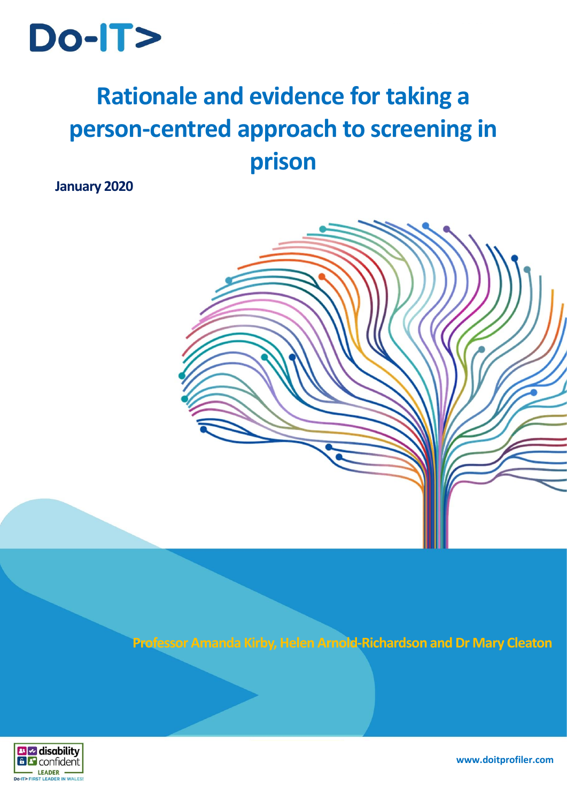

# **Rationale and evidence for taking a person-centred approach to screening in prison**

**January 2020**



**Professor Amanda Kirby, Helen Arnold-Richardson and Dr Mary Cleaton**



**www.doitprofiler.com**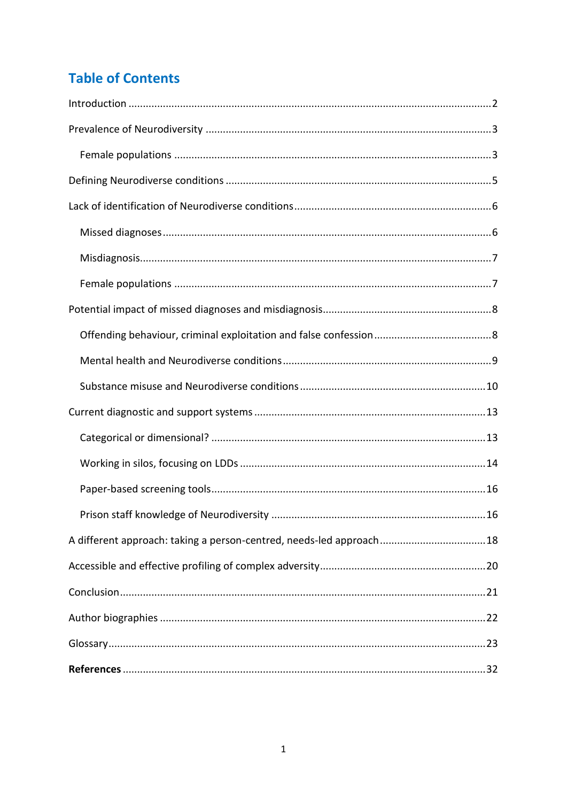## **Table of Contents**

| A different approach: taking a person-centred, needs-led approach18 |
|---------------------------------------------------------------------|
|                                                                     |
|                                                                     |
|                                                                     |
|                                                                     |
|                                                                     |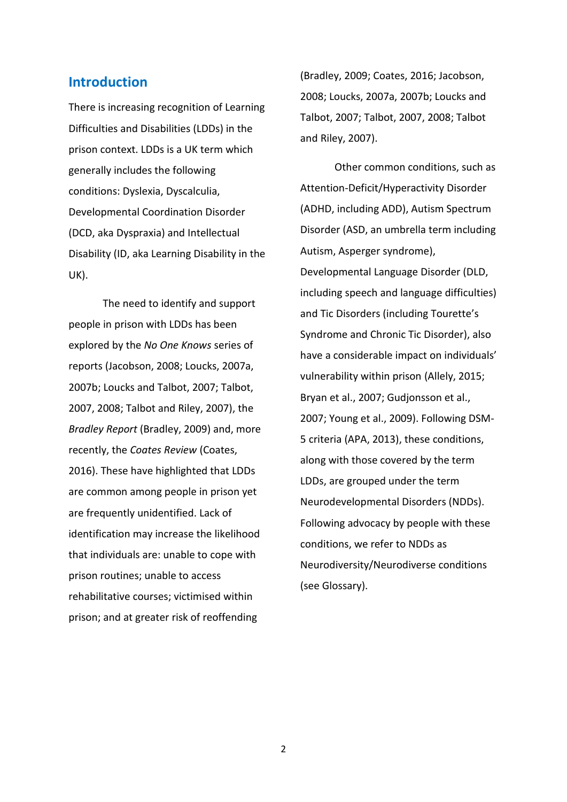## <span id="page-2-0"></span>**Introduction**

There is increasing recognition of Learning Difficulties and Disabilities (LDDs) in the prison context. LDDs is a UK term which generally includes the following conditions: Dyslexia, Dyscalculia, Developmental Coordination Disorder (DCD, aka Dyspraxia) and Intellectual Disability (ID, aka Learning Disability in the UK).

The need to identify and support people in prison with LDDs has been explored by the *No One Knows* series of reports (Jacobson, 2008; Loucks, 2007a, 2007b; Loucks and Talbot, 2007; Talbot, 2007, 2008; Talbot and Riley, 2007), the *Bradley Report* (Bradley, 2009) and, more recently, the *Coates Review* (Coates, 2016). These have highlighted that LDDs are common among people in prison yet are frequently unidentified. Lack of identification may increase the likelihood that individuals are: unable to cope with prison routines; unable to access rehabilitative courses; victimised within prison; and at greater risk of reoffending

(Bradley, 2009; Coates, 2016; Jacobson, 2008; Loucks, 2007a, 2007b; Loucks and Talbot, 2007; Talbot, 2007, 2008; Talbot and Riley, 2007).

Other common conditions, such as Attention-Deficit/Hyperactivity Disorder (ADHD, including ADD), Autism Spectrum Disorder (ASD, an umbrella term including Autism, Asperger syndrome), Developmental Language Disorder (DLD, including speech and language difficulties) and Tic Disorders (including Tourette's Syndrome and Chronic Tic Disorder), also have a considerable impact on individuals' vulnerability within prison (Allely, 2015; Bryan et al., 2007; Gudjonsson et al., 2007; Young et al., 2009). Following DSM-5 criteria (APA, 2013), these conditions, along with those covered by the term LDDs, are grouped under the term Neurodevelopmental Disorders (NDDs). Following advocacy by people with these conditions, we refer to NDDs as Neurodiversity/Neurodiverse conditions (see Glossary).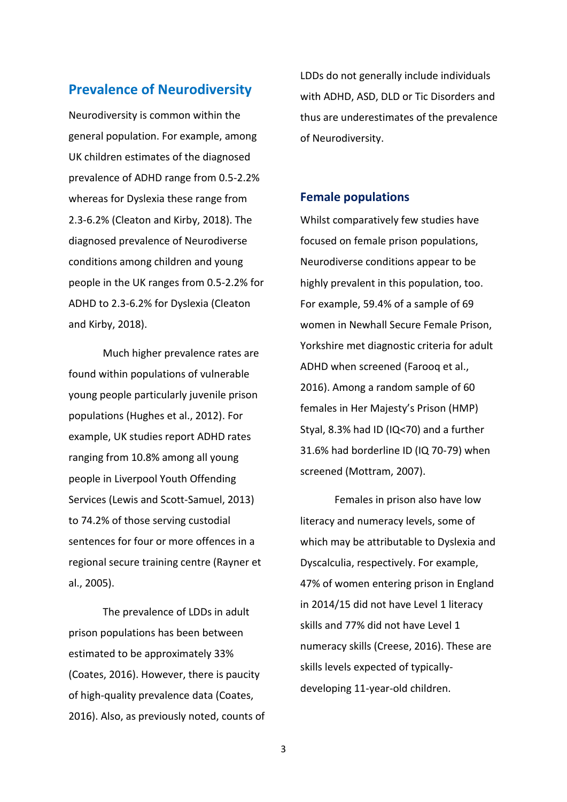## <span id="page-3-0"></span>**Prevalence of Neurodiversity**

Neurodiversity is common within the general population. For example, among UK children estimates of the diagnosed prevalence of ADHD range from 0.5-2.2% whereas for Dyslexia these range from 2.3-6.2% (Cleaton and Kirby, 2018). The diagnosed prevalence of Neurodiverse conditions among children and young people in the UK ranges from 0.5-2.2% for ADHD to 2.3-6.2% for Dyslexia (Cleaton and Kirby, 2018).

Much higher prevalence rates are found within populations of vulnerable young people particularly juvenile prison populations (Hughes et al., 2012). For example, UK studies report ADHD rates ranging from 10.8% among all young people in Liverpool Youth Offending Services (Lewis and Scott-Samuel, 2013) to 74.2% of those serving custodial sentences for four or more offences in a regional secure training centre (Rayner et al., 2005).

The prevalence of LDDs in adult prison populations has been between estimated to be approximately 33% (Coates, 2016). However, there is paucity of high-quality prevalence data (Coates, 2016). Also, as previously noted, counts of LDDs do not generally include individuals with ADHD, ASD, DLD or Tic Disorders and thus are underestimates of the prevalence of Neurodiversity.

#### <span id="page-3-1"></span>**Female populations**

Whilst comparatively few studies have focused on female prison populations, Neurodiverse conditions appear to be highly prevalent in this population, too. For example, 59.4% of a sample of 69 women in Newhall Secure Female Prison, Yorkshire met diagnostic criteria for adult ADHD when screened (Farooq et al., 2016). Among a random sample of 60 females in Her Majesty's Prison (HMP) Styal, 8.3% had ID (IQ<70) and a further 31.6% had borderline ID (IQ 70-79) when screened (Mottram, 2007).

Females in prison also have low literacy and numeracy levels, some of which may be attributable to Dyslexia and Dyscalculia, respectively. For example, 47% of women entering prison in England in 2014/15 did not have Level 1 literacy skills and 77% did not have Level 1 numeracy skills (Creese, 2016). These are skills levels expected of typicallydeveloping 11-year-old children.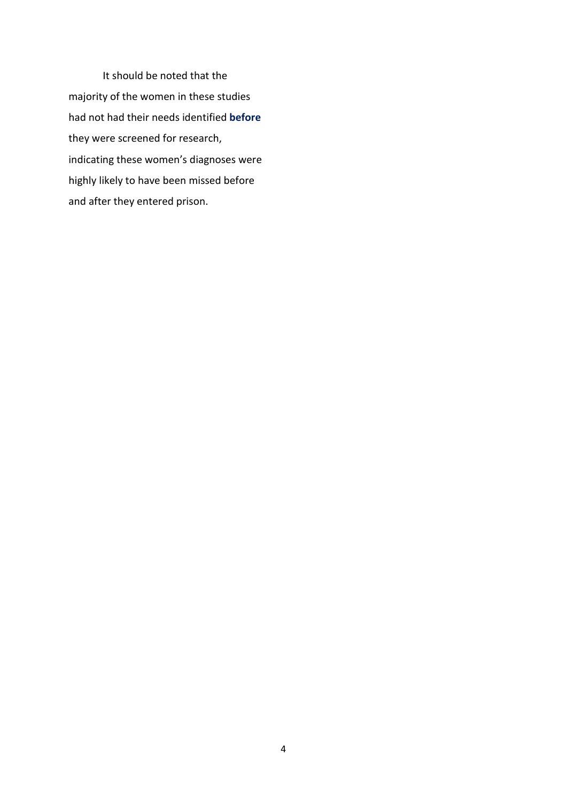It should be noted that the majority of the women in these studies had not had their needs identified **before** they were screened for research, indicating these women's diagnoses were highly likely to have been missed before and after they entered prison.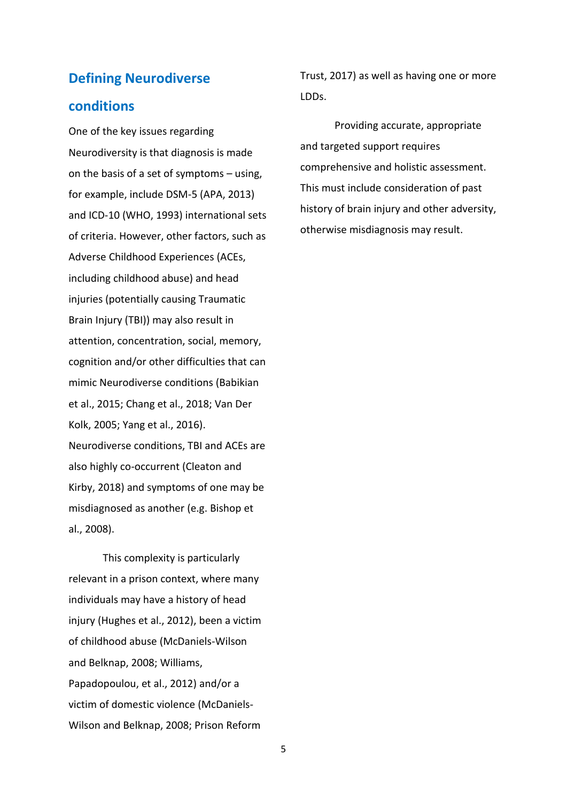## <span id="page-5-0"></span>**Defining Neurodiverse**

## **conditions**

One of the key issues regarding Neurodiversity is that diagnosis is made on the basis of a set of symptoms – using, for example, include DSM-5 (APA, 2013) and ICD-10 (WHO, 1993) international sets of criteria. However, other factors, such as Adverse Childhood Experiences (ACEs, including childhood abuse) and head injuries (potentially causing Traumatic Brain Injury (TBI)) may also result in attention, concentration, social, memory, cognition and/or other difficulties that can mimic Neurodiverse conditions (Babikian et al., 2015; Chang et al., 2018; Van Der Kolk, 2005; Yang et al., 2016). Neurodiverse conditions, TBI and ACEs are also highly co-occurrent (Cleaton and Kirby, 2018) and symptoms of one may be misdiagnosed as another (e.g. Bishop et al., 2008).

This complexity is particularly relevant in a prison context, where many individuals may have a history of head injury (Hughes et al., 2012), been a victim of childhood abuse (McDaniels-Wilson and Belknap, 2008; Williams, Papadopoulou, et al., 2012) and/or a victim of domestic violence (McDaniels-Wilson and Belknap, 2008; Prison Reform

Trust, 2017) as well as having one or more LDDs.

Providing accurate, appropriate and targeted support requires comprehensive and holistic assessment. This must include consideration of past history of brain injury and other adversity, otherwise misdiagnosis may result.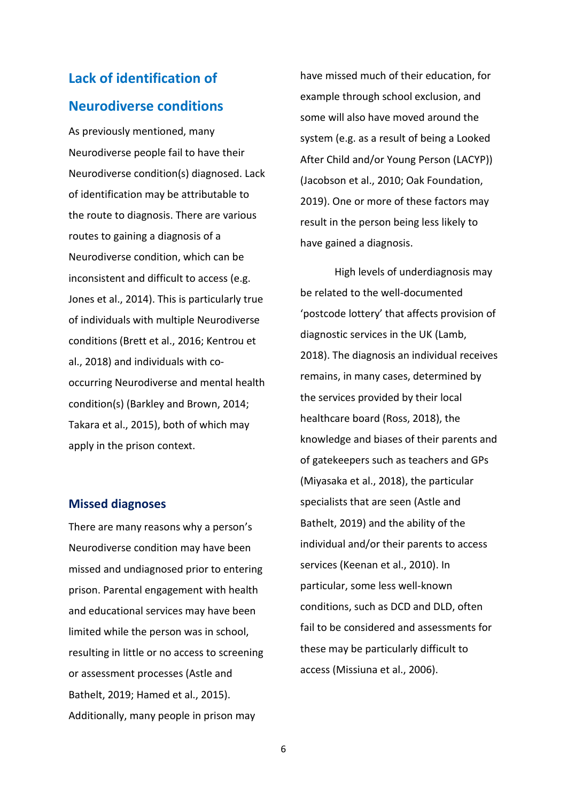## <span id="page-6-0"></span>**Lack of identification of Neurodiverse conditions**

As previously mentioned, many Neurodiverse people fail to have their Neurodiverse condition(s) diagnosed. Lack of identification may be attributable to the route to diagnosis. There are various routes to gaining a diagnosis of a Neurodiverse condition, which can be inconsistent and difficult to access (e.g. Jones et al., 2014). This is particularly true of individuals with multiple Neurodiverse conditions (Brett et al., 2016; Kentrou et al., 2018) and individuals with cooccurring Neurodiverse and mental health condition(s) (Barkley and Brown, 2014; Takara et al., 2015), both of which may apply in the prison context.

#### <span id="page-6-1"></span>**Missed diagnoses**

There are many reasons why a person's Neurodiverse condition may have been missed and undiagnosed prior to entering prison. Parental engagement with health and educational services may have been limited while the person was in school, resulting in little or no access to screening or assessment processes (Astle and Bathelt, 2019; Hamed et al., 2015). Additionally, many people in prison may

have missed much of their education, for example through school exclusion, and some will also have moved around the system (e.g. as a result of being a Looked After Child and/or Young Person (LACYP)) (Jacobson et al., 2010; Oak Foundation, 2019). One or more of these factors may result in the person being less likely to have gained a diagnosis.

High levels of underdiagnosis may be related to the well-documented 'postcode lottery' that affects provision of diagnostic services in the UK (Lamb, 2018). The diagnosis an individual receives remains, in many cases, determined by the services provided by their local healthcare board (Ross, 2018), the knowledge and biases of their parents and of gatekeepers such as teachers and GPs (Miyasaka et al., 2018), the particular specialists that are seen (Astle and Bathelt, 2019) and the ability of the individual and/or their parents to access services (Keenan et al., 2010). In particular, some less well-known conditions, such as DCD and DLD, often fail to be considered and assessments for these may be particularly difficult to access (Missiuna et al., 2006).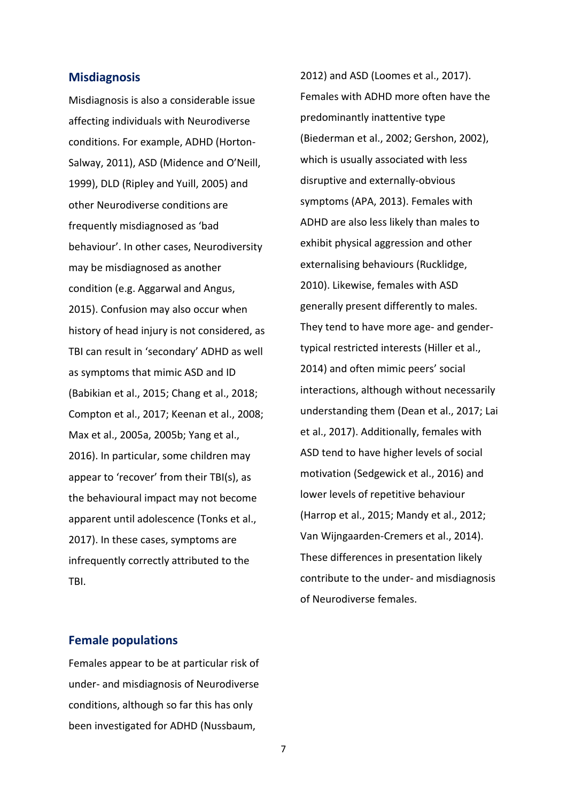#### <span id="page-7-0"></span>**Misdiagnosis**

Misdiagnosis is also a considerable issue affecting individuals with Neurodiverse conditions. For example, ADHD (Horton-Salway, 2011), ASD (Midence and O'Neill, 1999), DLD (Ripley and Yuill, 2005) and other Neurodiverse conditions are frequently misdiagnosed as 'bad behaviour'. In other cases, Neurodiversity may be misdiagnosed as another condition (e.g. Aggarwal and Angus, 2015). Confusion may also occur when history of head injury is not considered, as TBI can result in 'secondary' ADHD as well as symptoms that mimic ASD and ID (Babikian et al., 2015; Chang et al., 2018; Compton et al., 2017; Keenan et al., 2008; Max et al., 2005a, 2005b; Yang et al., 2016). In particular, some children may appear to 'recover' from their TBI(s), as the behavioural impact may not become apparent until adolescence (Tonks et al., 2017). In these cases, symptoms are infrequently correctly attributed to the TBI.

# Females with ADHD more often have the predominantly inattentive type (Biederman et al., 2002; Gershon, 2002), which is usually associated with less disruptive and externally-obvious symptoms (APA, 2013). Females with ADHD are also less likely than males to exhibit physical aggression and other externalising behaviours (Rucklidge, 2010). Likewise, females with ASD generally present differently to males. They tend to have more age- and gendertypical restricted interests (Hiller et al., 2014) and often mimic peers' social interactions, although without necessarily understanding them (Dean et al., 2017; Lai et al., 2017). Additionally, females with ASD tend to have higher levels of social motivation (Sedgewick et al., 2016) and lower levels of repetitive behaviour (Harrop et al., 2015; Mandy et al., 2012; Van Wijngaarden-Cremers et al., 2014). These differences in presentation likely contribute to the under- and misdiagnosis of Neurodiverse females.

2012) and ASD (Loomes et al., 2017).

## <span id="page-7-1"></span>**Female populations**

Females appear to be at particular risk of under- and misdiagnosis of Neurodiverse conditions, although so far this has only been investigated for ADHD (Nussbaum,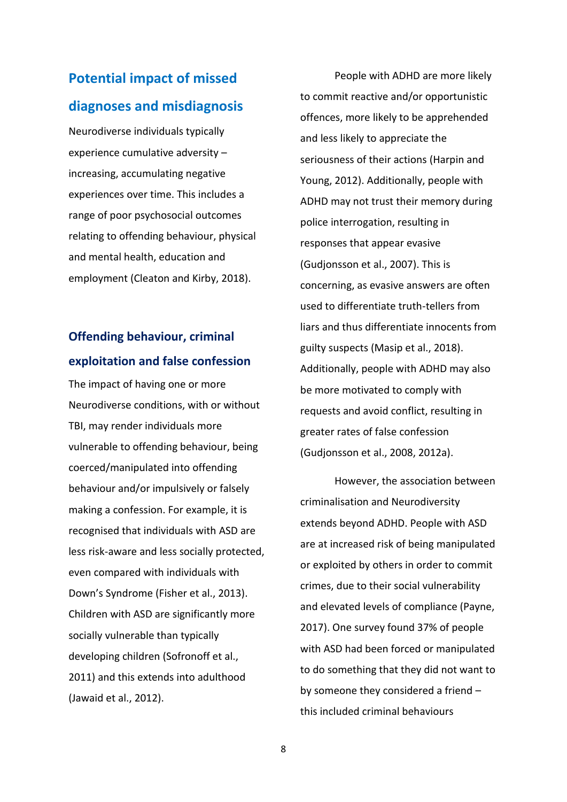# <span id="page-8-0"></span>**Potential impact of missed diagnoses and misdiagnosis**

Neurodiverse individuals typically experience cumulative adversity – increasing, accumulating negative experiences over time. This includes a range of poor psychosocial outcomes relating to offending behaviour, physical and mental health, education and employment (Cleaton and Kirby, 2018).

## <span id="page-8-1"></span>**Offending behaviour, criminal exploitation and false confession**

The impact of having one or more Neurodiverse conditions, with or without TBI, may render individuals more vulnerable to offending behaviour, being coerced/manipulated into offending behaviour and/or impulsively or falsely making a confession. For example, it is recognised that individuals with ASD are less risk-aware and less socially protected, even compared with individuals with Down's Syndrome (Fisher et al., 2013). Children with ASD are significantly more socially vulnerable than typically developing children (Sofronoff et al., 2011) and this extends into adulthood (Jawaid et al., 2012).

People with ADHD are more likely to commit reactive and/or opportunistic offences, more likely to be apprehended and less likely to appreciate the seriousness of their actions (Harpin and Young, 2012). Additionally, people with ADHD may not trust their memory during police interrogation, resulting in responses that appear evasive (Gudjonsson et al., 2007). This is concerning, as evasive answers are often used to differentiate truth-tellers from liars and thus differentiate innocents from guilty suspects (Masip et al., 2018). Additionally, people with ADHD may also be more motivated to comply with requests and avoid conflict, resulting in greater rates of false confession (Gudjonsson et al., 2008, 2012a).

However, the association between criminalisation and Neurodiversity extends beyond ADHD. People with ASD are at increased risk of being manipulated or exploited by others in order to commit crimes, due to their social vulnerability and elevated levels of compliance (Payne, 2017). One survey found 37% of people with ASD had been forced or manipulated to do something that they did not want to by someone they considered a friend – this included criminal behaviours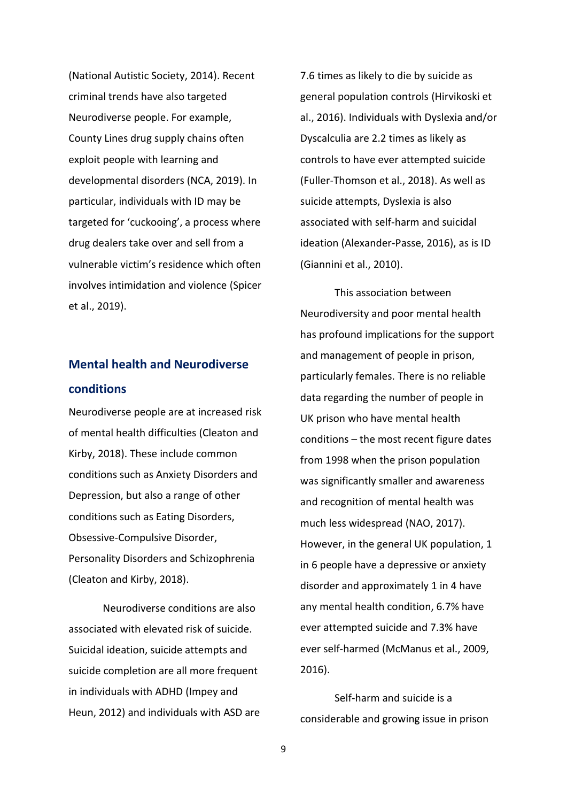(National Autistic Society, 2014). Recent criminal trends have also targeted Neurodiverse people. For example, County Lines drug supply chains often exploit people with learning and developmental disorders (NCA, 2019). In particular, individuals with ID may be targeted for 'cuckooing', a process where drug dealers take over and sell from a vulnerable victim's residence which often involves intimidation and violence (Spicer et al., 2019).

## <span id="page-9-0"></span>**Mental health and Neurodiverse conditions**

Neurodiverse people are at increased risk of mental health difficulties (Cleaton and Kirby, 2018). These include common conditions such as Anxiety Disorders and Depression, but also a range of other conditions such as Eating Disorders, Obsessive-Compulsive Disorder, Personality Disorders and Schizophrenia (Cleaton and Kirby, 2018).

Neurodiverse conditions are also associated with elevated risk of suicide. Suicidal ideation, suicide attempts and suicide completion are all more frequent in individuals with ADHD (Impey and Heun, 2012) and individuals with ASD are 7.6 times as likely to die by suicide as general population controls (Hirvikoski et al., 2016). Individuals with Dyslexia and/or Dyscalculia are 2.2 times as likely as controls to have ever attempted suicide (Fuller-Thomson et al., 2018). As well as suicide attempts, Dyslexia is also associated with self-harm and suicidal ideation (Alexander-Passe, 2016), as is ID (Giannini et al., 2010).

This association between Neurodiversity and poor mental health has profound implications for the support and management of people in prison, particularly females. There is no reliable data regarding the number of people in UK prison who have mental health conditions – the most recent figure dates from 1998 when the prison population was significantly smaller and awareness and recognition of mental health was much less widespread (NAO, 2017). However, in the general UK population, 1 in 6 people have a depressive or anxiety disorder and approximately 1 in 4 have any mental health condition, 6.7% have ever attempted suicide and 7.3% have ever self-harmed (McManus et al., 2009, 2016).

Self-harm and suicide is a considerable and growing issue in prison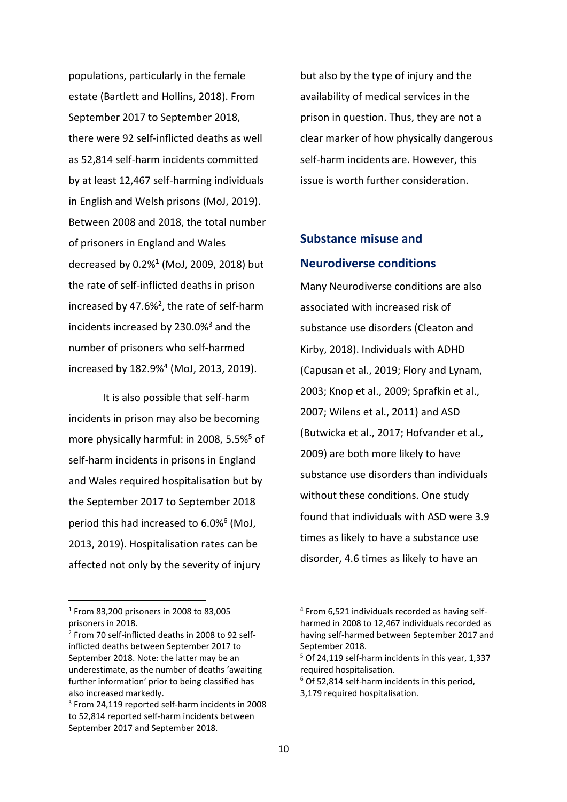populations, particularly in the female estate (Bartlett and Hollins, 2018). From September 2017 to September 2018, there were 92 self-inflicted deaths as well as 52,814 self-harm incidents committed by at least 12,467 self-harming individuals in English and Welsh prisons (MoJ, 2019). Between 2008 and 2018, the total number of prisoners in England and Wales decreased by 0.2%<sup>1</sup> (MoJ, 2009, 2018) but the rate of self-inflicted deaths in prison increased by 47.6%<sup>2</sup>, the rate of self-harm incidents increased by 230.0%<sup>3</sup> and the number of prisoners who self-harmed increased by 182.9%<sup>4</sup> (MoJ, 2013, 2019).

It is also possible that self-harm incidents in prison may also be becoming more physically harmful: in 2008, 5.5%<sup>5</sup> of self-harm incidents in prisons in England and Wales required hospitalisation but by the September 2017 to September 2018 period this had increased to 6.0%<sup>6</sup> (MoJ, 2013, 2019). Hospitalisation rates can be affected not only by the severity of injury

but also by the type of injury and the availability of medical services in the prison in question. Thus, they are not a clear marker of how physically dangerous self-harm incidents are. However, this issue is worth further consideration.

## <span id="page-10-0"></span>**Substance misuse and Neurodiverse conditions**

Many Neurodiverse conditions are also associated with increased risk of substance use disorders (Cleaton and Kirby, 2018). Individuals with ADHD (Capusan et al., 2019; Flory and Lynam, 2003; Knop et al., 2009; Sprafkin et al., 2007; Wilens et al., 2011) and ASD (Butwicka et al., 2017; Hofvander et al., 2009) are both more likely to have substance use disorders than individuals without these conditions. One study found that individuals with ASD were 3.9 times as likely to have a substance use disorder, 4.6 times as likely to have an

<sup>1</sup> From 83,200 prisoners in 2008 to 83,005 prisoners in 2018.

<sup>&</sup>lt;sup>2</sup> From 70 self-inflicted deaths in 2008 to 92 selfinflicted deaths between September 2017 to September 2018. Note: the latter may be an underestimate, as the number of deaths 'awaiting further information' prior to being classified has also increased markedly.

<sup>3</sup> From 24,119 reported self-harm incidents in 2008 to 52,814 reported self-harm incidents between September 2017 and September 2018.

<sup>4</sup> From 6,521 individuals recorded as having selfharmed in 2008 to 12,467 individuals recorded as having self-harmed between September 2017 and September 2018.

<sup>&</sup>lt;sup>5</sup> Of 24,119 self-harm incidents in this year, 1,337 required hospitalisation.

<sup>6</sup> Of 52,814 self-harm incidents in this period,

<sup>3,179</sup> required hospitalisation.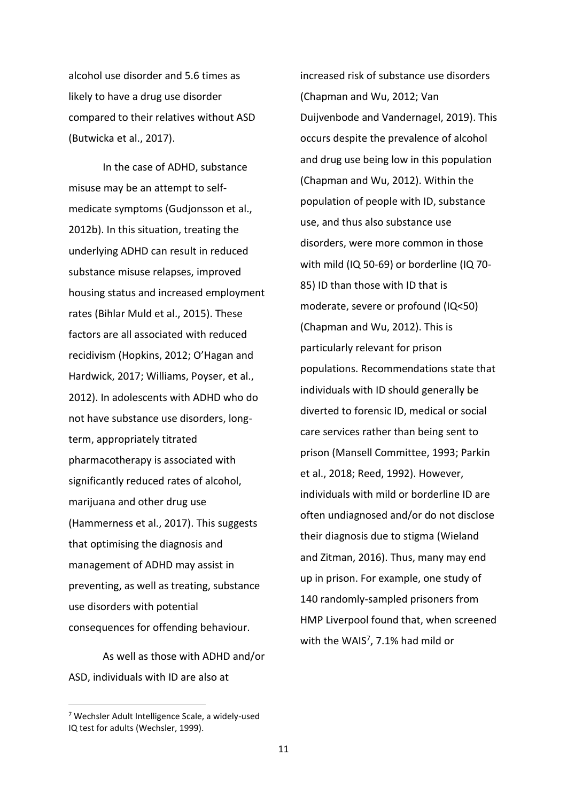alcohol use disorder and 5.6 times as likely to have a drug use disorder compared to their relatives without ASD (Butwicka et al., 2017).

In the case of ADHD, substance misuse may be an attempt to selfmedicate symptoms (Gudjonsson et al., 2012b). In this situation, treating the underlying ADHD can result in reduced substance misuse relapses, improved housing status and increased employment rates (Bihlar Muld et al., 2015). These factors are all associated with reduced recidivism (Hopkins, 2012; O'Hagan and Hardwick, 2017; Williams, Poyser, et al., 2012). In adolescents with ADHD who do not have substance use disorders, longterm, appropriately titrated pharmacotherapy is associated with significantly reduced rates of alcohol, marijuana and other drug use (Hammerness et al., 2017). This suggests that optimising the diagnosis and management of ADHD may assist in preventing, as well as treating, substance use disorders with potential consequences for offending behaviour.

As well as those with ADHD and/or ASD, individuals with ID are also at

increased risk of substance use disorders (Chapman and Wu, 2012; Van Duijvenbode and Vandernagel, 2019). This occurs despite the prevalence of alcohol and drug use being low in this population (Chapman and Wu, 2012). Within the population of people with ID, substance use, and thus also substance use disorders, were more common in those with mild (IQ 50-69) or borderline (IQ 70- 85) ID than those with ID that is moderate, severe or profound (IQ<50) (Chapman and Wu, 2012). This is particularly relevant for prison populations. Recommendations state that individuals with ID should generally be diverted to forensic ID, medical or social care services rather than being sent to prison (Mansell Committee, 1993; Parkin et al., 2018; Reed, 1992). However, individuals with mild or borderline ID are often undiagnosed and/or do not disclose their diagnosis due to stigma (Wieland and Zitman, 2016). Thus, many may end up in prison. For example, one study of 140 randomly-sampled prisoners from HMP Liverpool found that, when screened

with the WAIS<sup>7</sup>, 7.1% had mild or

<sup>7</sup> Wechsler Adult Intelligence Scale, a widely-used IQ test for adults (Wechsler, 1999).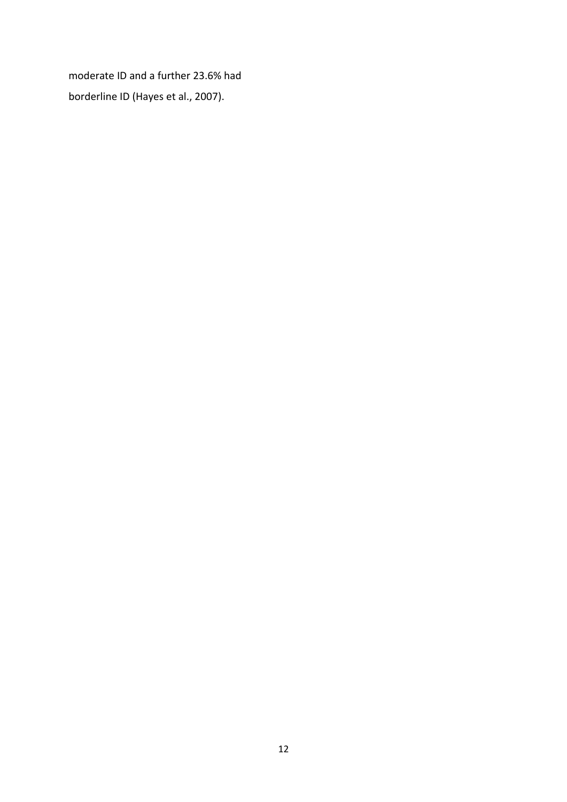moderate ID and a further 23.6% had borderline ID (Hayes et al., 2007).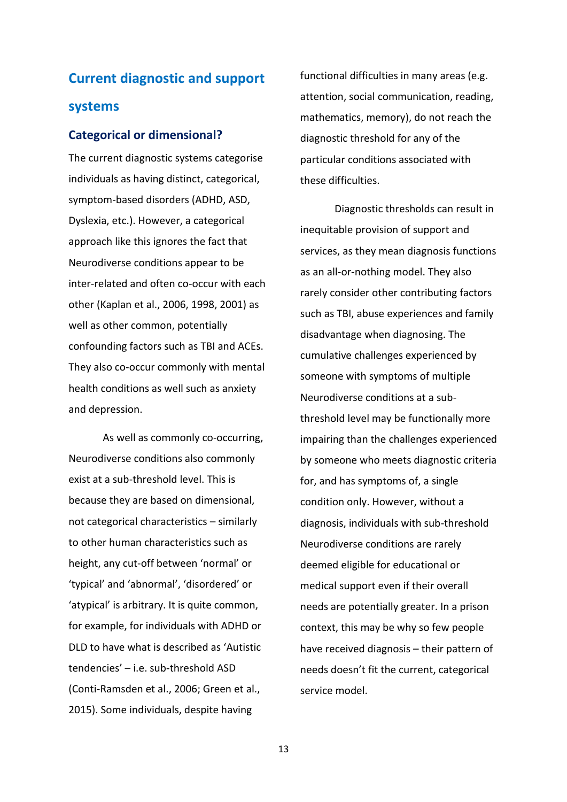# <span id="page-13-0"></span>**Current diagnostic and support systems**

### <span id="page-13-1"></span>**Categorical or dimensional?**

The current diagnostic systems categorise individuals as having distinct, categorical, symptom-based disorders (ADHD, ASD, Dyslexia, etc.). However, a categorical approach like this ignores the fact that Neurodiverse conditions appear to be inter-related and often co-occur with each other (Kaplan et al., 2006, 1998, 2001) as well as other common, potentially confounding factors such as TBI and ACEs. They also co-occur commonly with mental health conditions as well such as anxiety and depression.

As well as commonly co-occurring, Neurodiverse conditions also commonly exist at a sub-threshold level. This is because they are based on dimensional, not categorical characteristics – similarly to other human characteristics such as height, any cut-off between 'normal' or 'typical' and 'abnormal', 'disordered' or 'atypical' is arbitrary. It is quite common, for example, for individuals with ADHD or DLD to have what is described as 'Autistic tendencies' – i.e. sub-threshold ASD (Conti-Ramsden et al., 2006; Green et al., 2015). Some individuals, despite having

functional difficulties in many areas (e.g. attention, social communication, reading, mathematics, memory), do not reach the diagnostic threshold for any of the particular conditions associated with these difficulties.

Diagnostic thresholds can result in inequitable provision of support and services, as they mean diagnosis functions as an all-or-nothing model. They also rarely consider other contributing factors such as TBI, abuse experiences and family disadvantage when diagnosing. The cumulative challenges experienced by someone with symptoms of multiple Neurodiverse conditions at a subthreshold level may be functionally more impairing than the challenges experienced by someone who meets diagnostic criteria for, and has symptoms of, a single condition only. However, without a diagnosis, individuals with sub-threshold Neurodiverse conditions are rarely deemed eligible for educational or medical support even if their overall needs are potentially greater. In a prison context, this may be why so few people have received diagnosis – their pattern of needs doesn't fit the current, categorical service model.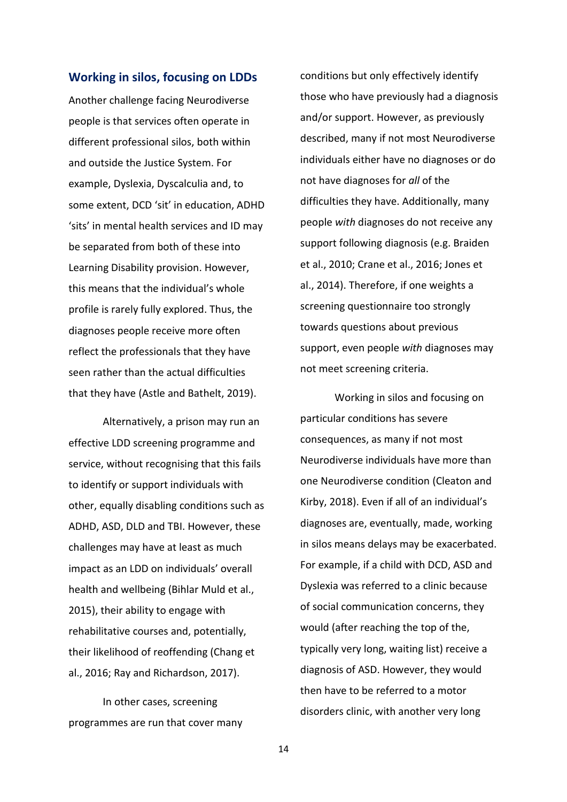#### <span id="page-14-0"></span>**Working in silos, focusing on LDDs**

Another challenge facing Neurodiverse people is that services often operate in different professional silos, both within and outside the Justice System. For example, Dyslexia, Dyscalculia and, to some extent, DCD 'sit' in education, ADHD 'sits' in mental health services and ID may be separated from both of these into Learning Disability provision. However, this means that the individual's whole profile is rarely fully explored. Thus, the diagnoses people receive more often reflect the professionals that they have seen rather than the actual difficulties that they have (Astle and Bathelt, 2019).

Alternatively, a prison may run an effective LDD screening programme and service, without recognising that this fails to identify or support individuals with other, equally disabling conditions such as ADHD, ASD, DLD and TBI. However, these challenges may have at least as much impact as an LDD on individuals' overall health and wellbeing (Bihlar Muld et al., 2015), their ability to engage with rehabilitative courses and, potentially, their likelihood of reoffending (Chang et al., 2016; Ray and Richardson, 2017).

In other cases, screening programmes are run that cover many conditions but only effectively identify those who have previously had a diagnosis and/or support. However, as previously described, many if not most Neurodiverse individuals either have no diagnoses or do not have diagnoses for *all* of the difficulties they have. Additionally, many people *with* diagnoses do not receive any support following diagnosis (e.g. Braiden et al., 2010; Crane et al., 2016; Jones et al., 2014). Therefore, if one weights a screening questionnaire too strongly towards questions about previous support, even people *with* diagnoses may not meet screening criteria.

Working in silos and focusing on particular conditions has severe consequences, as many if not most Neurodiverse individuals have more than one Neurodiverse condition (Cleaton and Kirby, 2018). Even if all of an individual's diagnoses are, eventually, made, working in silos means delays may be exacerbated. For example, if a child with DCD, ASD and Dyslexia was referred to a clinic because of social communication concerns, they would (after reaching the top of the, typically very long, waiting list) receive a diagnosis of ASD. However, they would then have to be referred to a motor disorders clinic, with another very long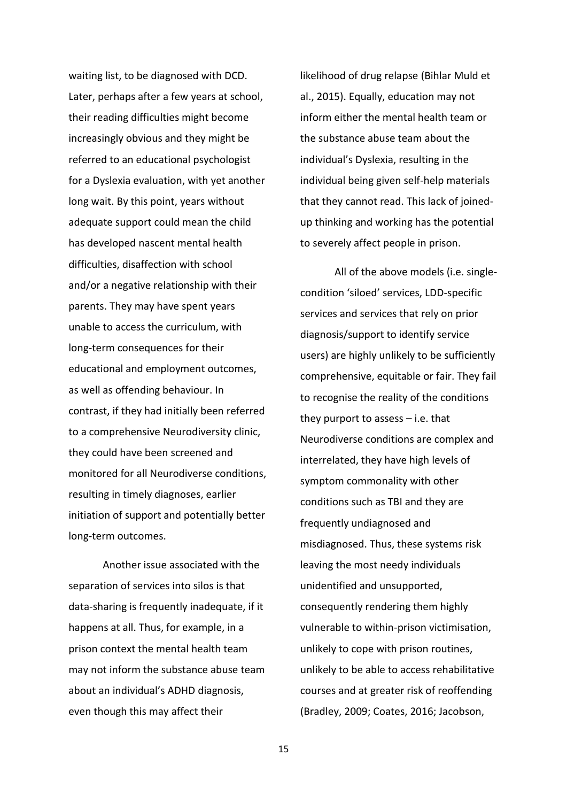waiting list, to be diagnosed with DCD. Later, perhaps after a few years at school, their reading difficulties might become increasingly obvious and they might be referred to an educational psychologist for a Dyslexia evaluation, with yet another long wait. By this point, years without adequate support could mean the child has developed nascent mental health difficulties, disaffection with school and/or a negative relationship with their parents. They may have spent years unable to access the curriculum, with long-term consequences for their educational and employment outcomes, as well as offending behaviour. In contrast, if they had initially been referred to a comprehensive Neurodiversity clinic, they could have been screened and monitored for all Neurodiverse conditions, resulting in timely diagnoses, earlier initiation of support and potentially better long-term outcomes.

Another issue associated with the separation of services into silos is that data-sharing is frequently inadequate, if it happens at all. Thus, for example, in a prison context the mental health team may not inform the substance abuse team about an individual's ADHD diagnosis, even though this may affect their

likelihood of drug relapse (Bihlar Muld et al., 2015). Equally, education may not inform either the mental health team or the substance abuse team about the individual's Dyslexia, resulting in the individual being given self-help materials that they cannot read. This lack of joinedup thinking and working has the potential to severely affect people in prison.

All of the above models (i.e. singlecondition 'siloed' services, LDD-specific services and services that rely on prior diagnosis/support to identify service users) are highly unlikely to be sufficiently comprehensive, equitable or fair. They fail to recognise the reality of the conditions they purport to assess – i.e. that Neurodiverse conditions are complex and interrelated, they have high levels of symptom commonality with other conditions such as TBI and they are frequently undiagnosed and misdiagnosed. Thus, these systems risk leaving the most needy individuals unidentified and unsupported, consequently rendering them highly vulnerable to within-prison victimisation, unlikely to cope with prison routines, unlikely to be able to access rehabilitative courses and at greater risk of reoffending (Bradley, 2009; Coates, 2016; Jacobson,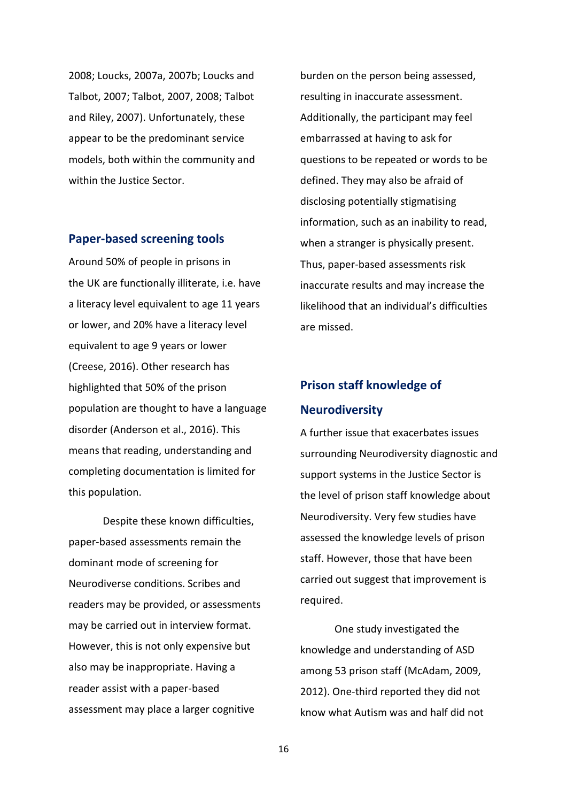2008; Loucks, 2007a, 2007b; Loucks and Talbot, 2007; Talbot, 2007, 2008; Talbot and Riley, 2007). Unfortunately, these appear to be the predominant service models, both within the community and within the Justice Sector.

#### <span id="page-16-0"></span>**Paper-based screening tools**

Around 50% of people in prisons in the UK are functionally illiterate, i.e. have a literacy level equivalent to age 11 years or lower, and 20% have a literacy level equivalent to age 9 years or lower (Creese, 2016). Other research has highlighted that 50% of the prison population are thought to have a language disorder (Anderson et al., 2016). This means that reading, understanding and completing documentation is limited for this population.

Despite these known difficulties, paper-based assessments remain the dominant mode of screening for Neurodiverse conditions. Scribes and readers may be provided, or assessments may be carried out in interview format. However, this is not only expensive but also may be inappropriate. Having a reader assist with a paper-based assessment may place a larger cognitive

burden on the person being assessed, resulting in inaccurate assessment. Additionally, the participant may feel embarrassed at having to ask for questions to be repeated or words to be defined. They may also be afraid of disclosing potentially stigmatising information, such as an inability to read, when a stranger is physically present. Thus, paper-based assessments risk inaccurate results and may increase the likelihood that an individual's difficulties are missed.

## <span id="page-16-1"></span>**Prison staff knowledge of Neurodiversity**

A further issue that exacerbates issues surrounding Neurodiversity diagnostic and support systems in the Justice Sector is the level of prison staff knowledge about Neurodiversity. Very few studies have assessed the knowledge levels of prison staff. However, those that have been carried out suggest that improvement is required.

One study investigated the knowledge and understanding of ASD among 53 prison staff (McAdam, 2009, 2012). One-third reported they did not know what Autism was and half did not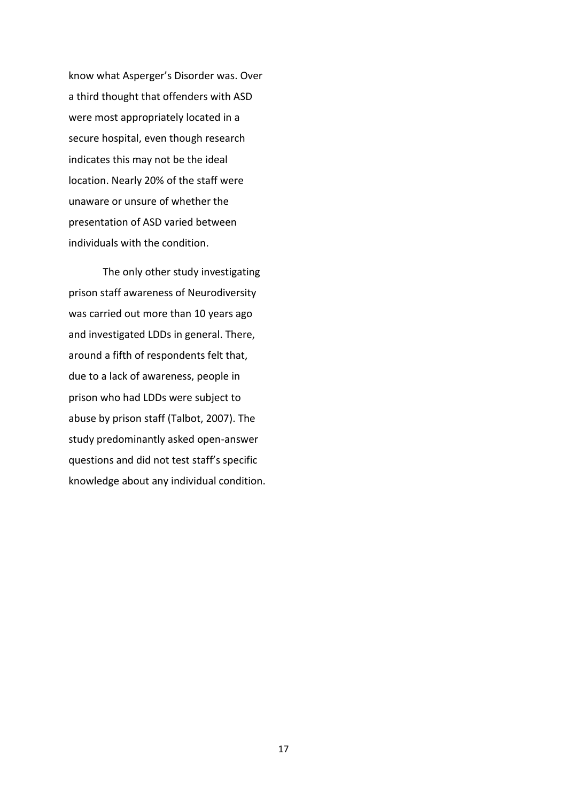know what Asperger's Disorder was. Over a third thought that offenders with ASD were most appropriately located in a secure hospital, even though research indicates this may not be the ideal location. Nearly 20% of the staff were unaware or unsure of whether the presentation of ASD varied between individuals with the condition.

The only other study investigating prison staff awareness of Neurodiversity was carried out more than 10 years ago and investigated LDDs in general. There, around a fifth of respondents felt that, due to a lack of awareness, people in prison who had LDDs were subject to abuse by prison staff (Talbot, 2007). The study predominantly asked open-answer questions and did not test staff's specific knowledge about any individual condition.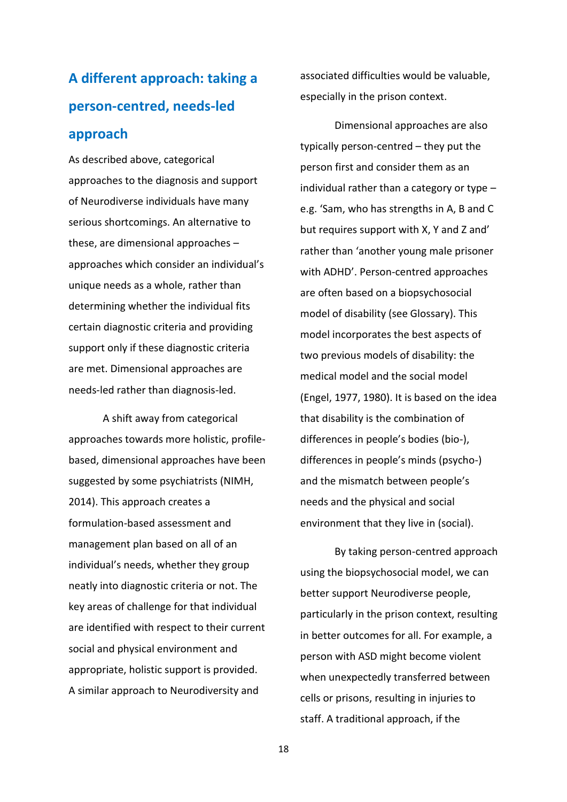# <span id="page-18-0"></span>**A different approach: taking a person-centred, needs-led approach**

As described above, categorical approaches to the diagnosis and support of Neurodiverse individuals have many serious shortcomings. An alternative to these, are dimensional approaches – approaches which consider an individual's unique needs as a whole, rather than determining whether the individual fits certain diagnostic criteria and providing support only if these diagnostic criteria are met. Dimensional approaches are needs-led rather than diagnosis-led.

A shift away from categorical approaches towards more holistic, profilebased, dimensional approaches have been suggested by some psychiatrists (NIMH, 2014). This approach creates a formulation-based assessment and management plan based on all of an individual's needs, whether they group neatly into diagnostic criteria or not. The key areas of challenge for that individual are identified with respect to their current social and physical environment and appropriate, holistic support is provided. A similar approach to Neurodiversity and

associated difficulties would be valuable, especially in the prison context.

Dimensional approaches are also typically person-centred – they put the person first and consider them as an individual rather than a category or type – e.g. 'Sam, who has strengths in A, B and C but requires support with X, Y and Z and' rather than 'another young male prisoner with ADHD'. Person-centred approaches are often based on a biopsychosocial model of disability (see Glossary). This model incorporates the best aspects of two previous models of disability: the medical model and the social model (Engel, 1977, 1980). It is based on the idea that disability is the combination of differences in people's bodies (bio-), differences in people's minds (psycho-) and the mismatch between people's needs and the physical and social environment that they live in (social).

By taking person-centred approach using the biopsychosocial model, we can better support Neurodiverse people, particularly in the prison context, resulting in better outcomes for all. For example, a person with ASD might become violent when unexpectedly transferred between cells or prisons, resulting in injuries to staff. A traditional approach, if the

18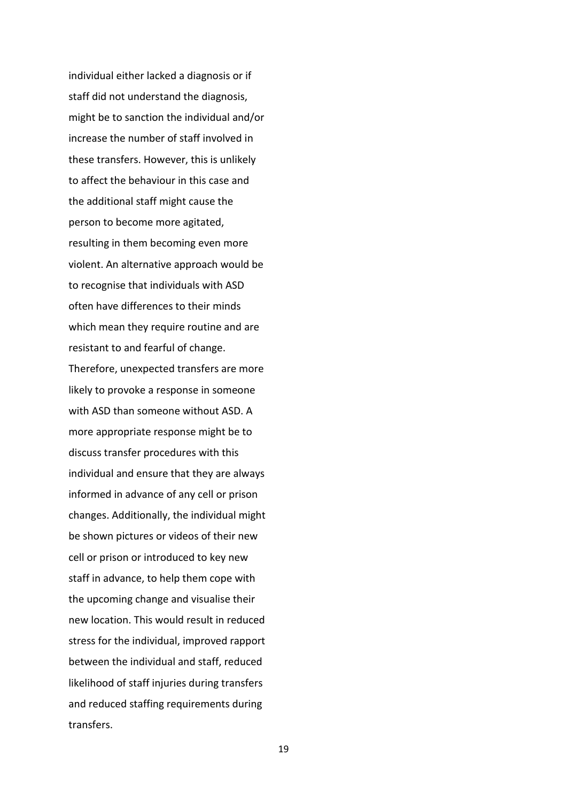individual either lacked a diagnosis or if staff did not understand the diagnosis, might be to sanction the individual and/or increase the number of staff involved in these transfers. However, this is unlikely to affect the behaviour in this case and the additional staff might cause the person to become more agitated, resulting in them becoming even more violent. An alternative approach would be to recognise that individuals with ASD often have differences to their minds which mean they require routine and are resistant to and fearful of change. Therefore, unexpected transfers are more likely to provoke a response in someone with ASD than someone without ASD. A more appropriate response might be to discuss transfer procedures with this individual and ensure that they are always informed in advance of any cell or prison changes. Additionally, the individual might be shown pictures or videos of their new cell or prison or introduced to key new staff in advance, to help them cope with the upcoming change and visualise their new location. This would result in reduced stress for the individual, improved rapport between the individual and staff, reduced likelihood of staff injuries during transfers and reduced staffing requirements during transfers.

19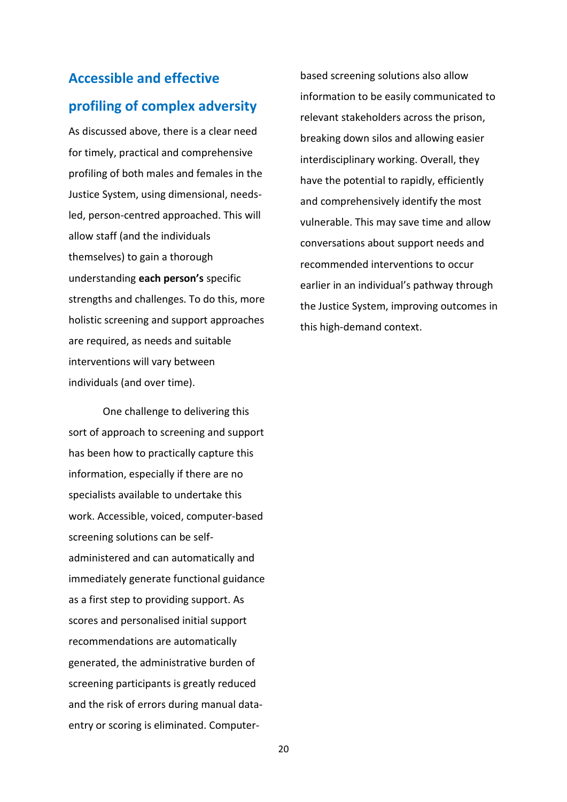# <span id="page-20-0"></span>**Accessible and effective profiling of complex adversity**

As discussed above, there is a clear need for timely, practical and comprehensive profiling of both males and females in the Justice System, using dimensional, needsled, person-centred approached. This will allow staff (and the individuals themselves) to gain a thorough understanding **each person's** specific strengths and challenges. To do this, more holistic screening and support approaches are required, as needs and suitable interventions will vary between individuals (and over time).

One challenge to delivering this sort of approach to screening and support has been how to practically capture this information, especially if there are no specialists available to undertake this work. Accessible, voiced, computer-based screening solutions can be selfadministered and can automatically and immediately generate functional guidance as a first step to providing support. As scores and personalised initial support recommendations are automatically generated, the administrative burden of screening participants is greatly reduced and the risk of errors during manual dataentry or scoring is eliminated. Computerbased screening solutions also allow information to be easily communicated to relevant stakeholders across the prison, breaking down silos and allowing easier interdisciplinary working. Overall, they have the potential to rapidly, efficiently and comprehensively identify the most vulnerable. This may save time and allow conversations about support needs and recommended interventions to occur earlier in an individual's pathway through the Justice System, improving outcomes in this high-demand context.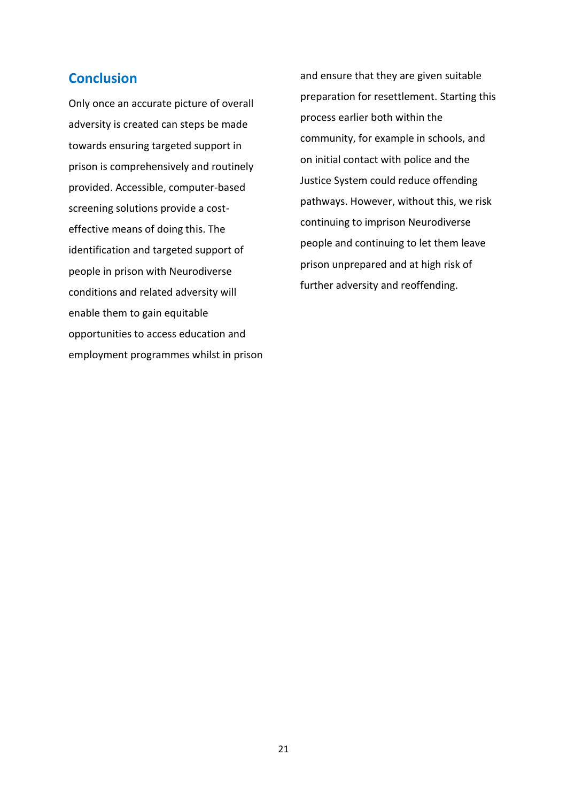## <span id="page-21-0"></span>**Conclusion**

Only once an accurate picture of overall adversity is created can steps be made towards ensuring targeted support in prison is comprehensively and routinely provided. Accessible, computer-based screening solutions provide a costeffective means of doing this. The identification and targeted support of people in prison with Neurodiverse conditions and related adversity will enable them to gain equitable opportunities to access education and employment programmes whilst in prison and ensure that they are given suitable preparation for resettlement. Starting this process earlier both within the community, for example in schools, and on initial contact with police and the Justice System could reduce offending pathways. However, without this, we risk continuing to imprison Neurodiverse people and continuing to let them leave prison unprepared and at high risk of further adversity and reoffending.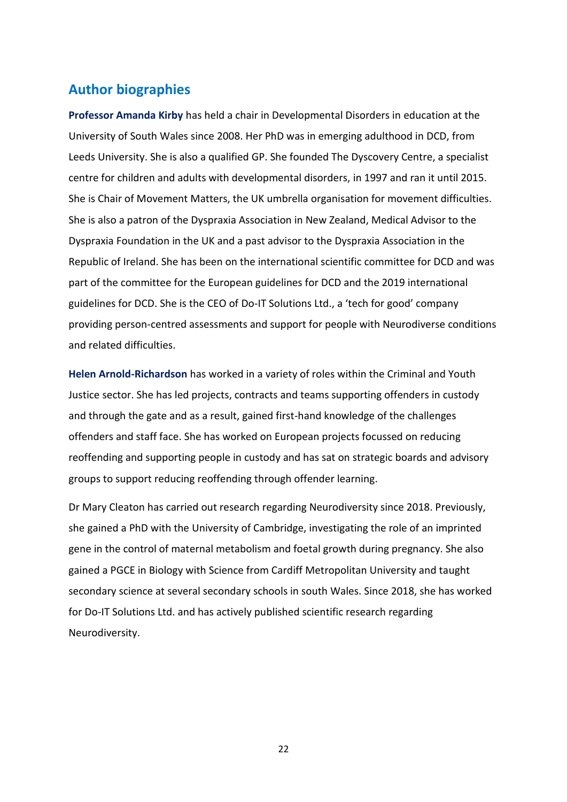## <span id="page-22-0"></span>**Author biographies**

**Professor Amanda Kirby** has held a chair in Developmental Disorders in education at the University of South Wales since 2008. Her PhD was in emerging adulthood in DCD, from Leeds University. She is also a qualified GP. She founded The Dyscovery Centre, a specialist centre for children and adults with developmental disorders, in 1997 and ran it until 2015. She is Chair of Movement Matters, the UK umbrella organisation for movement difficulties. She is also a patron of the Dyspraxia Association in New Zealand, Medical Advisor to the Dyspraxia Foundation in the UK and a past advisor to the Dyspraxia Association in the Republic of Ireland. She has been on the international scientific committee for DCD and was part of the committee for the European guidelines for DCD and the 2019 international guidelines for DCD. She is the CEO of Do-IT Solutions Ltd., a 'tech for good' company providing person-centred assessments and support for people with Neurodiverse conditions and related difficulties.

**Helen Arnold-Richardson** has worked in a variety of roles within the Criminal and Youth Justice sector. She has led projects, contracts and teams supporting offenders in custody and through the gate and as a result, gained first-hand knowledge of the challenges offenders and staff face. She has worked on European projects focussed on reducing reoffending and supporting people in custody and has sat on strategic boards and advisory groups to support reducing reoffending through offender learning.

Dr Mary Cleaton has carried out research regarding Neurodiversity since 2018. Previously, she gained a PhD with the University of Cambridge, investigating the role of an imprinted gene in the control of maternal metabolism and foetal growth during pregnancy. She also gained a PGCE in Biology with Science from Cardiff Metropolitan University and taught secondary science at several secondary schools in south Wales. Since 2018, she has worked for Do-IT Solutions Ltd. and has actively published scientific research regarding Neurodiversity.

22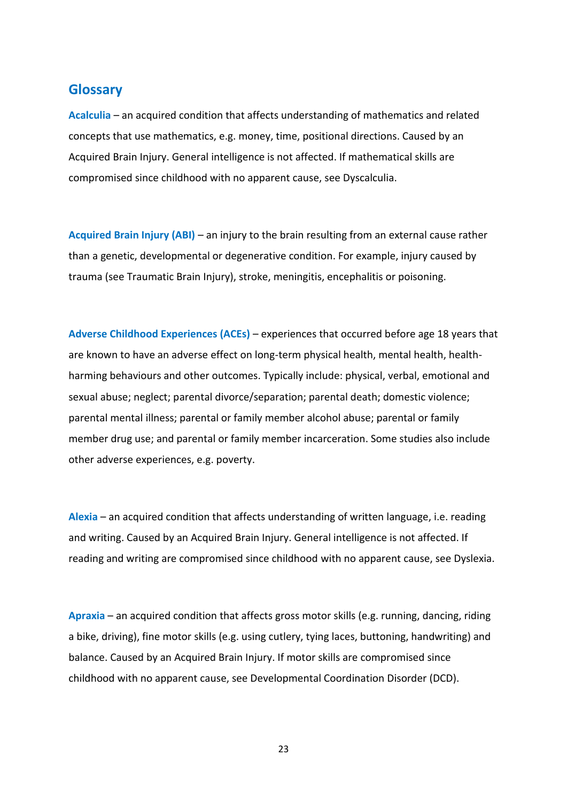## <span id="page-23-0"></span>**Glossary**

**Acalculia** – an acquired condition that affects understanding of mathematics and related concepts that use mathematics, e.g. money, time, positional directions. Caused by an Acquired Brain Injury. General intelligence is not affected. If mathematical skills are compromised since childhood with no apparent cause, see Dyscalculia.

**Acquired Brain Injury (ABI)** – an injury to the brain resulting from an external cause rather than a genetic, developmental or degenerative condition. For example, injury caused by trauma (see Traumatic Brain Injury), stroke, meningitis, encephalitis or poisoning.

**Adverse Childhood Experiences (ACEs)** – experiences that occurred before age 18 years that are known to have an adverse effect on long-term physical health, mental health, healthharming behaviours and other outcomes. Typically include: physical, verbal, emotional and sexual abuse; neglect; parental divorce/separation; parental death; domestic violence; parental mental illness; parental or family member alcohol abuse; parental or family member drug use; and parental or family member incarceration. Some studies also include other adverse experiences, e.g. poverty.

**Alexia** – an acquired condition that affects understanding of written language, i.e. reading and writing. Caused by an Acquired Brain Injury. General intelligence is not affected. If reading and writing are compromised since childhood with no apparent cause, see Dyslexia.

**Apraxia** – an acquired condition that affects gross motor skills (e.g. running, dancing, riding a bike, driving), fine motor skills (e.g. using cutlery, tying laces, buttoning, handwriting) and balance. Caused by an Acquired Brain Injury. If motor skills are compromised since childhood with no apparent cause, see Developmental Coordination Disorder (DCD).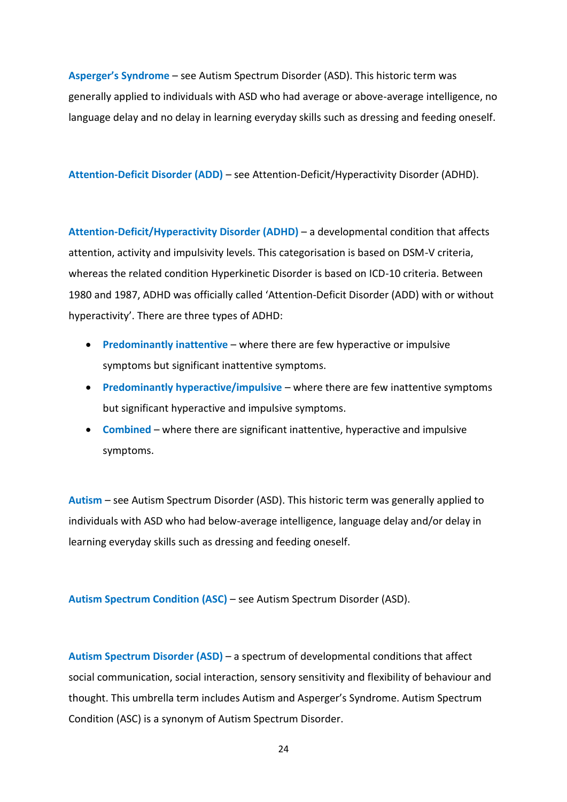**Asperger's Syndrome** – see Autism Spectrum Disorder (ASD). This historic term was generally applied to individuals with ASD who had average or above-average intelligence, no language delay and no delay in learning everyday skills such as dressing and feeding oneself.

**Attention-Deficit Disorder (ADD)** – see Attention-Deficit/Hyperactivity Disorder (ADHD).

**Attention-Deficit/Hyperactivity Disorder (ADHD)** – a developmental condition that affects attention, activity and impulsivity levels. This categorisation is based on DSM-V criteria, whereas the related condition Hyperkinetic Disorder is based on ICD-10 criteria. Between 1980 and 1987, ADHD was officially called 'Attention-Deficit Disorder (ADD) with or without hyperactivity'. There are three types of ADHD:

- **Predominantly inattentive** where there are few hyperactive or impulsive symptoms but significant inattentive symptoms.
- **Predominantly hyperactive/impulsive** where there are few inattentive symptoms but significant hyperactive and impulsive symptoms.
- **Combined** where there are significant inattentive, hyperactive and impulsive symptoms.

**Autism** – see Autism Spectrum Disorder (ASD). This historic term was generally applied to individuals with ASD who had below-average intelligence, language delay and/or delay in learning everyday skills such as dressing and feeding oneself.

**Autism Spectrum Condition (ASC)** – see Autism Spectrum Disorder (ASD).

**Autism Spectrum Disorder (ASD)** – a spectrum of developmental conditions that affect social communication, social interaction, sensory sensitivity and flexibility of behaviour and thought. This umbrella term includes Autism and Asperger's Syndrome. Autism Spectrum Condition (ASC) is a synonym of Autism Spectrum Disorder.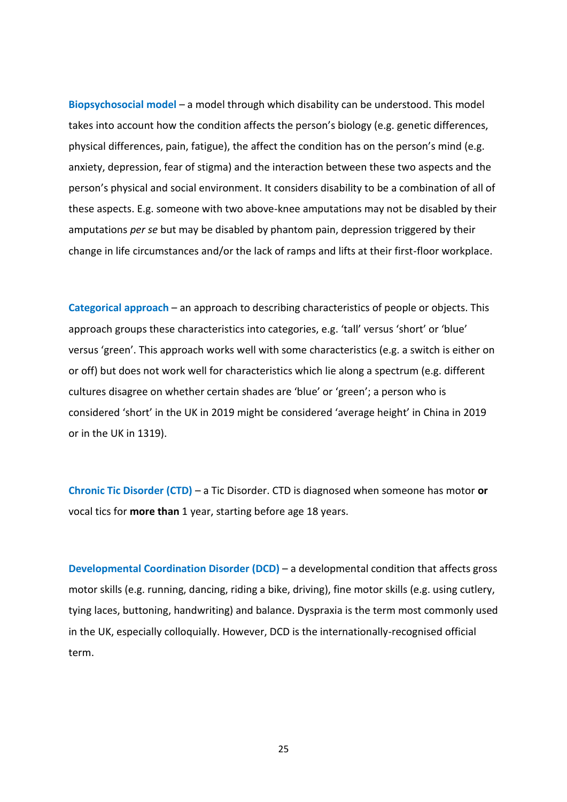**Biopsychosocial model** – a model through which disability can be understood. This model takes into account how the condition affects the person's biology (e.g. genetic differences, physical differences, pain, fatigue), the affect the condition has on the person's mind (e.g. anxiety, depression, fear of stigma) and the interaction between these two aspects and the person's physical and social environment. It considers disability to be a combination of all of these aspects. E.g. someone with two above-knee amputations may not be disabled by their amputations *per se* but may be disabled by phantom pain, depression triggered by their change in life circumstances and/or the lack of ramps and lifts at their first-floor workplace.

**Categorical approach** – an approach to describing characteristics of people or objects. This approach groups these characteristics into categories, e.g. 'tall' versus 'short' or 'blue' versus 'green'. This approach works well with some characteristics (e.g. a switch is either on or off) but does not work well for characteristics which lie along a spectrum (e.g. different cultures disagree on whether certain shades are 'blue' or 'green'; a person who is considered 'short' in the UK in 2019 might be considered 'average height' in China in 2019 or in the UK in 1319).

**Chronic Tic Disorder (CTD)** – a Tic Disorder. CTD is diagnosed when someone has motor **or** vocal tics for **more than** 1 year, starting before age 18 years.

**Developmental Coordination Disorder (DCD)** – a developmental condition that affects gross motor skills (e.g. running, dancing, riding a bike, driving), fine motor skills (e.g. using cutlery, tying laces, buttoning, handwriting) and balance. Dyspraxia is the term most commonly used in the UK, especially colloquially. However, DCD is the internationally-recognised official term.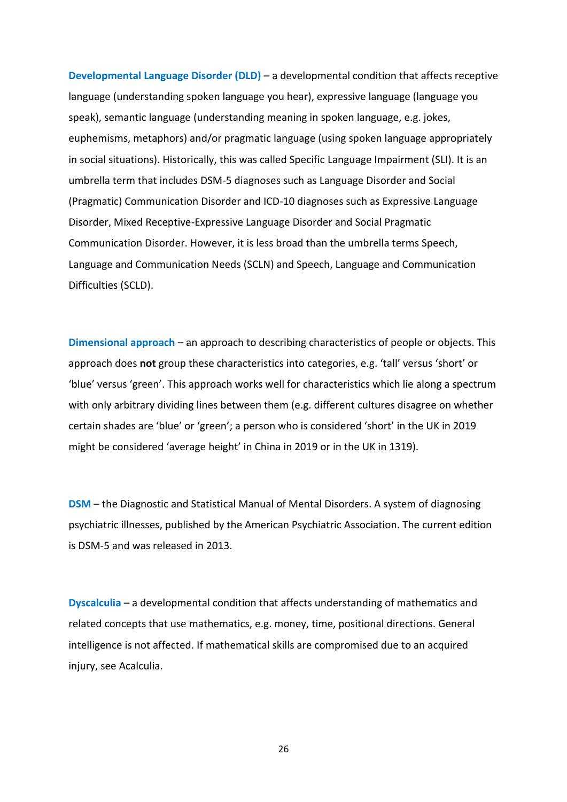**Developmental Language Disorder (DLD)** – a developmental condition that affects receptive language (understanding spoken language you hear), expressive language (language you speak), semantic language (understanding meaning in spoken language, e.g. jokes, euphemisms, metaphors) and/or pragmatic language (using spoken language appropriately in social situations). Historically, this was called Specific Language Impairment (SLI). It is an umbrella term that includes DSM-5 diagnoses such as Language Disorder and Social (Pragmatic) Communication Disorder and ICD-10 diagnoses such as Expressive Language Disorder, Mixed Receptive-Expressive Language Disorder and Social Pragmatic Communication Disorder. However, it is less broad than the umbrella terms Speech, Language and Communication Needs (SCLN) and Speech, Language and Communication Difficulties (SCLD).

**Dimensional approach** – an approach to describing characteristics of people or objects. This approach does **not** group these characteristics into categories, e.g. 'tall' versus 'short' or 'blue' versus 'green'. This approach works well for characteristics which lie along a spectrum with only arbitrary dividing lines between them (e.g. different cultures disagree on whether certain shades are 'blue' or 'green'; a person who is considered 'short' in the UK in 2019 might be considered 'average height' in China in 2019 or in the UK in 1319).

**DSM** – the Diagnostic and Statistical Manual of Mental Disorders. A system of diagnosing psychiatric illnesses, published by the American Psychiatric Association. The current edition is DSM-5 and was released in 2013.

**Dyscalculia** – a developmental condition that affects understanding of mathematics and related concepts that use mathematics, e.g. money, time, positional directions. General intelligence is not affected. If mathematical skills are compromised due to an acquired injury, see Acalculia.

26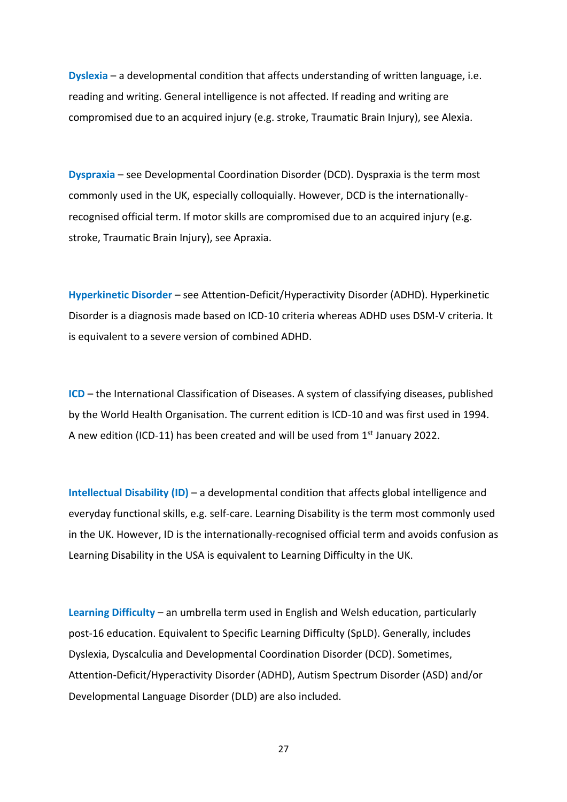**Dyslexia** – a developmental condition that affects understanding of written language, i.e. reading and writing. General intelligence is not affected. If reading and writing are compromised due to an acquired injury (e.g. stroke, Traumatic Brain Injury), see Alexia.

**Dyspraxia** – see Developmental Coordination Disorder (DCD). Dyspraxia is the term most commonly used in the UK, especially colloquially. However, DCD is the internationallyrecognised official term. If motor skills are compromised due to an acquired injury (e.g. stroke, Traumatic Brain Injury), see Apraxia.

**Hyperkinetic Disorder** – see Attention-Deficit/Hyperactivity Disorder (ADHD). Hyperkinetic Disorder is a diagnosis made based on ICD-10 criteria whereas ADHD uses DSM-V criteria. It is equivalent to a severe version of combined ADHD.

**ICD** – the International Classification of Diseases. A system of classifying diseases, published by the World Health Organisation. The current edition is ICD-10 and was first used in 1994. A new edition (ICD-11) has been created and will be used from  $1<sup>st</sup>$  January 2022.

**Intellectual Disability (ID)** – a developmental condition that affects global intelligence and everyday functional skills, e.g. self-care. Learning Disability is the term most commonly used in the UK. However, ID is the internationally-recognised official term and avoids confusion as Learning Disability in the USA is equivalent to Learning Difficulty in the UK.

**Learning Difficulty** – an umbrella term used in English and Welsh education, particularly post-16 education. Equivalent to Specific Learning Difficulty (SpLD). Generally, includes Dyslexia, Dyscalculia and Developmental Coordination Disorder (DCD). Sometimes, Attention-Deficit/Hyperactivity Disorder (ADHD), Autism Spectrum Disorder (ASD) and/or Developmental Language Disorder (DLD) are also included.

27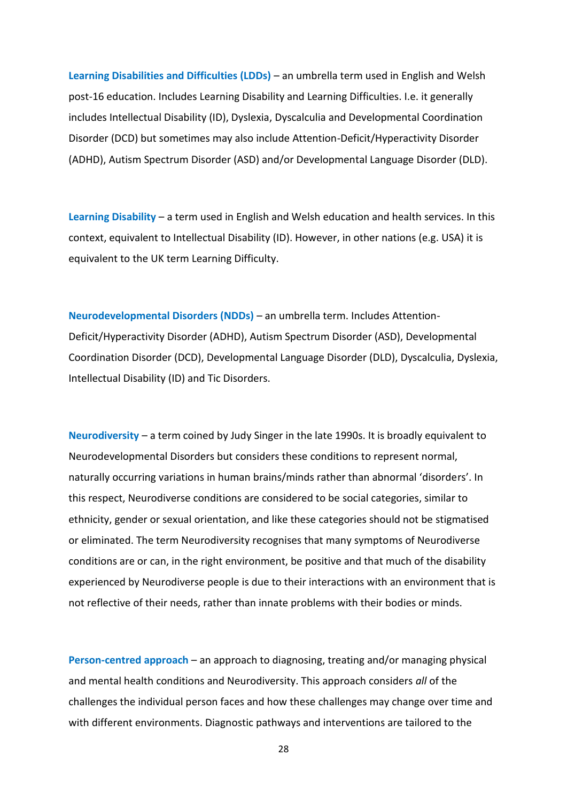**Learning Disabilities and Difficulties (LDDs)** – an umbrella term used in English and Welsh post-16 education. Includes Learning Disability and Learning Difficulties. I.e. it generally includes Intellectual Disability (ID), Dyslexia, Dyscalculia and Developmental Coordination Disorder (DCD) but sometimes may also include Attention-Deficit/Hyperactivity Disorder (ADHD), Autism Spectrum Disorder (ASD) and/or Developmental Language Disorder (DLD).

**Learning Disability** – a term used in English and Welsh education and health services. In this context, equivalent to Intellectual Disability (ID). However, in other nations (e.g. USA) it is equivalent to the UK term Learning Difficulty.

**Neurodevelopmental Disorders (NDDs)** – an umbrella term. Includes Attention-Deficit/Hyperactivity Disorder (ADHD), Autism Spectrum Disorder (ASD), Developmental Coordination Disorder (DCD), Developmental Language Disorder (DLD), Dyscalculia, Dyslexia, Intellectual Disability (ID) and Tic Disorders.

**Neurodiversity** – a term coined by Judy Singer in the late 1990s. It is broadly equivalent to Neurodevelopmental Disorders but considers these conditions to represent normal, naturally occurring variations in human brains/minds rather than abnormal 'disorders'. In this respect, Neurodiverse conditions are considered to be social categories, similar to ethnicity, gender or sexual orientation, and like these categories should not be stigmatised or eliminated. The term Neurodiversity recognises that many symptoms of Neurodiverse conditions are or can, in the right environment, be positive and that much of the disability experienced by Neurodiverse people is due to their interactions with an environment that is not reflective of their needs, rather than innate problems with their bodies or minds.

**Person-centred approach** – an approach to diagnosing, treating and/or managing physical and mental health conditions and Neurodiversity. This approach considers *all* of the challenges the individual person faces and how these challenges may change over time and with different environments. Diagnostic pathways and interventions are tailored to the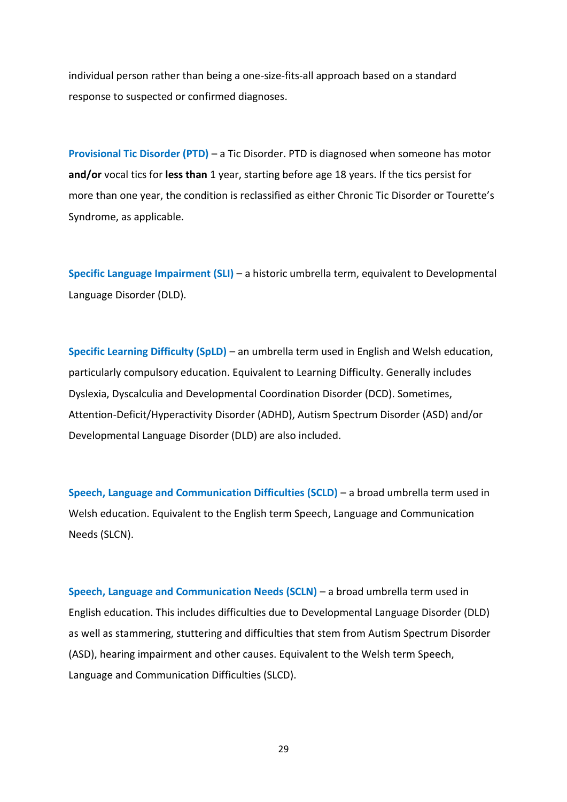individual person rather than being a one-size-fits-all approach based on a standard response to suspected or confirmed diagnoses.

**Provisional Tic Disorder (PTD)** – a Tic Disorder. PTD is diagnosed when someone has motor **and/or** vocal tics for **less than** 1 year, starting before age 18 years. If the tics persist for more than one year, the condition is reclassified as either Chronic Tic Disorder or Tourette's Syndrome, as applicable.

**Specific Language Impairment (SLI)** – a historic umbrella term, equivalent to Developmental Language Disorder (DLD).

**Specific Learning Difficulty (SpLD)** – an umbrella term used in English and Welsh education, particularly compulsory education. Equivalent to Learning Difficulty. Generally includes Dyslexia, Dyscalculia and Developmental Coordination Disorder (DCD). Sometimes, Attention-Deficit/Hyperactivity Disorder (ADHD), Autism Spectrum Disorder (ASD) and/or Developmental Language Disorder (DLD) are also included.

**Speech, Language and Communication Difficulties (SCLD)** – a broad umbrella term used in Welsh education. Equivalent to the English term Speech, Language and Communication Needs (SLCN).

**Speech, Language and Communication Needs (SCLN)** – a broad umbrella term used in English education. This includes difficulties due to Developmental Language Disorder (DLD) as well as stammering, stuttering and difficulties that stem from Autism Spectrum Disorder (ASD), hearing impairment and other causes. Equivalent to the Welsh term Speech, Language and Communication Difficulties (SLCD).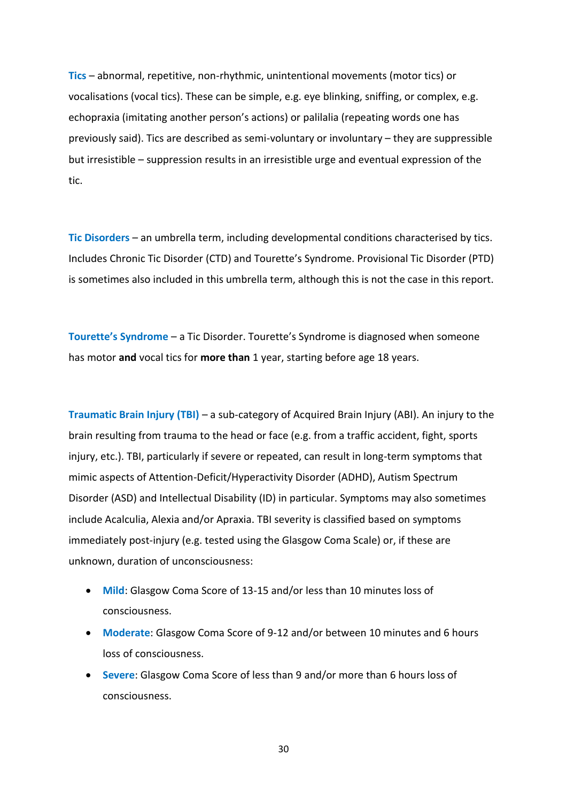**Tics** – abnormal, repetitive, non-rhythmic, unintentional movements (motor tics) or vocalisations (vocal tics). These can be simple, e.g. eye blinking, sniffing, or complex, e.g. echopraxia (imitating another person's actions) or palilalia (repeating words one has previously said). Tics are described as semi-voluntary or involuntary – they are suppressible but irresistible – suppression results in an irresistible urge and eventual expression of the tic.

**Tic Disorders** – an umbrella term, including developmental conditions characterised by tics. Includes Chronic Tic Disorder (CTD) and Tourette's Syndrome. Provisional Tic Disorder (PTD) is sometimes also included in this umbrella term, although this is not the case in this report.

**Tourette's Syndrome** – a Tic Disorder. Tourette's Syndrome is diagnosed when someone has motor **and** vocal tics for **more than** 1 year, starting before age 18 years.

**Traumatic Brain Injury (TBI)** – a sub-category of Acquired Brain Injury (ABI). An injury to the brain resulting from trauma to the head or face (e.g. from a traffic accident, fight, sports injury, etc.). TBI, particularly if severe or repeated, can result in long-term symptoms that mimic aspects of Attention-Deficit/Hyperactivity Disorder (ADHD), Autism Spectrum Disorder (ASD) and Intellectual Disability (ID) in particular. Symptoms may also sometimes include Acalculia, Alexia and/or Apraxia. TBI severity is classified based on symptoms immediately post-injury (e.g. tested using the Glasgow Coma Scale) or, if these are unknown, duration of unconsciousness:

- **Mild**: Glasgow Coma Score of 13-15 and/or less than 10 minutes loss of consciousness.
- **Moderate**: Glasgow Coma Score of 9-12 and/or between 10 minutes and 6 hours loss of consciousness.
- **Severe**: Glasgow Coma Score of less than 9 and/or more than 6 hours loss of consciousness.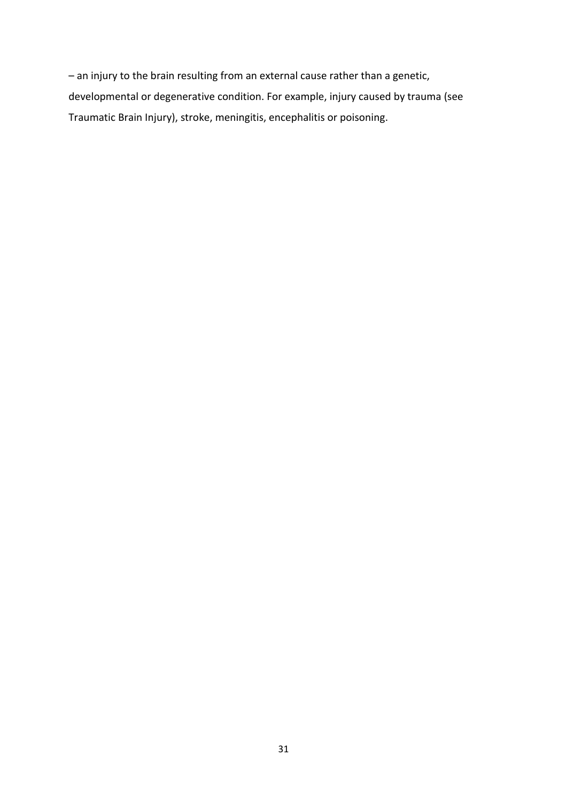– an injury to the brain resulting from an external cause rather than a genetic, developmental or degenerative condition. For example, injury caused by trauma (see Traumatic Brain Injury), stroke, meningitis, encephalitis or poisoning.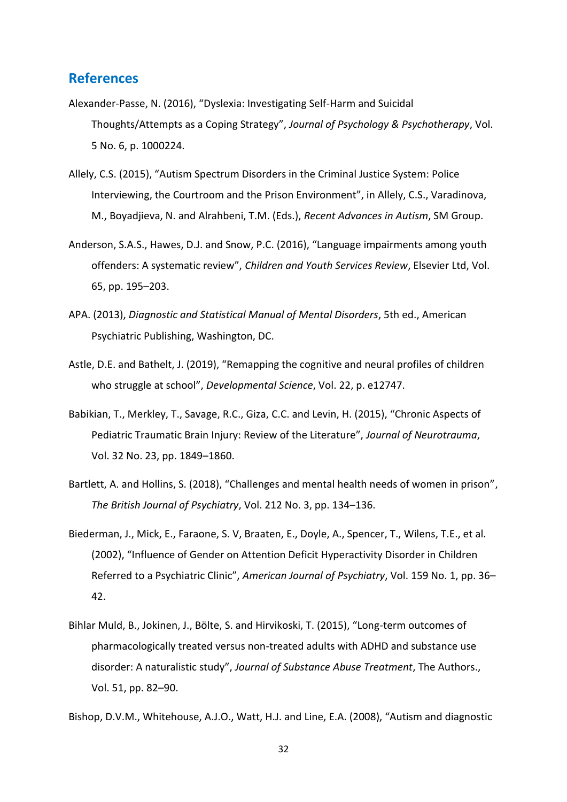## <span id="page-32-0"></span>**References**

- Alexander-Passe, N. (2016), "Dyslexia: Investigating Self-Harm and Suicidal Thoughts/Attempts as a Coping Strategy", *Journal of Psychology & Psychotherapy*, Vol. 5 No. 6, p. 1000224.
- Allely, C.S. (2015), "Autism Spectrum Disorders in the Criminal Justice System: Police Interviewing, the Courtroom and the Prison Environment", in Allely, C.S., Varadinova, M., Boyadjieva, N. and Alrahbeni, T.M. (Eds.), *Recent Advances in Autism*, SM Group.
- Anderson, S.A.S., Hawes, D.J. and Snow, P.C. (2016), "Language impairments among youth offenders: A systematic review", *Children and Youth Services Review*, Elsevier Ltd, Vol. 65, pp. 195–203.
- APA. (2013), *Diagnostic and Statistical Manual of Mental Disorders*, 5th ed., American Psychiatric Publishing, Washington, DC.
- Astle, D.E. and Bathelt, J. (2019), "Remapping the cognitive and neural profiles of children who struggle at school", *Developmental Science*, Vol. 22, p. e12747.
- Babikian, T., Merkley, T., Savage, R.C., Giza, C.C. and Levin, H. (2015), "Chronic Aspects of Pediatric Traumatic Brain Injury: Review of the Literature", *Journal of Neurotrauma*, Vol. 32 No. 23, pp. 1849–1860.
- Bartlett, A. and Hollins, S. (2018), "Challenges and mental health needs of women in prison", *The British Journal of Psychiatry*, Vol. 212 No. 3, pp. 134–136.
- Biederman, J., Mick, E., Faraone, S. V, Braaten, E., Doyle, A., Spencer, T., Wilens, T.E., et al. (2002), "Influence of Gender on Attention Deficit Hyperactivity Disorder in Children Referred to a Psychiatric Clinic", *American Journal of Psychiatry*, Vol. 159 No. 1, pp. 36– 42.
- Bihlar Muld, B., Jokinen, J., Bölte, S. and Hirvikoski, T. (2015), "Long-term outcomes of pharmacologically treated versus non-treated adults with ADHD and substance use disorder: A naturalistic study", *Journal of Substance Abuse Treatment*, The Authors., Vol. 51, pp. 82–90.

Bishop, D.V.M., Whitehouse, A.J.O., Watt, H.J. and Line, E.A. (2008), "Autism and diagnostic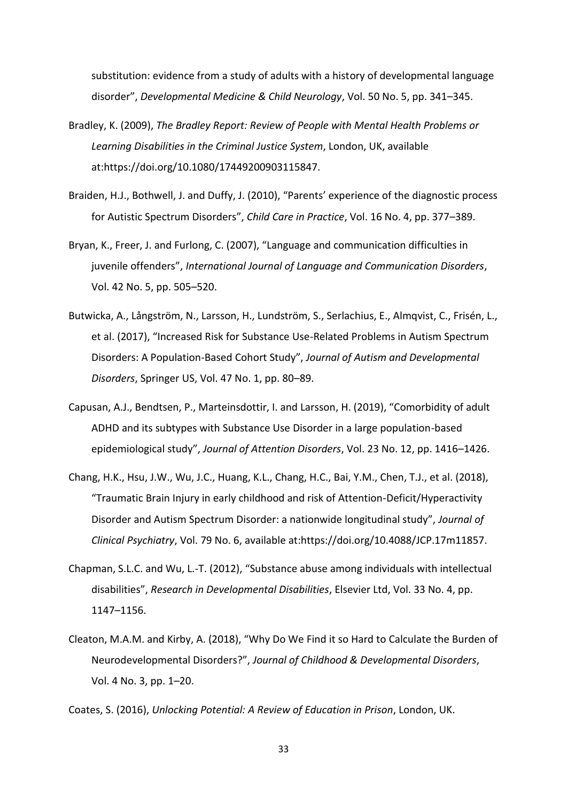substitution: evidence from a study of adults with a history of developmental language disorder", *Developmental Medicine & Child Neurology*, Vol. 50 No. 5, pp. 341–345.

- Bradley, K. (2009), *The Bradley Report: Review of People with Mental Health Problems or Learning Disabilities in the Criminal Justice System*, London, UK, available at:https://doi.org/10.1080/17449200903115847.
- Braiden, H.J., Bothwell, J. and Duffy, J. (2010), "Parents' experience of the diagnostic process for Autistic Spectrum Disorders", *Child Care in Practice*, Vol. 16 No. 4, pp. 377–389.
- Bryan, K., Freer, J. and Furlong, C. (2007), "Language and communication difficulties in juvenile offenders", *International Journal of Language and Communication Disorders*, Vol. 42 No. 5, pp. 505–520.
- Butwicka, A., Långström, N., Larsson, H., Lundström, S., Serlachius, E., Almqvist, C., Frisén, L., et al. (2017), "Increased Risk for Substance Use-Related Problems in Autism Spectrum Disorders: A Population-Based Cohort Study", *Journal of Autism and Developmental Disorders*, Springer US, Vol. 47 No. 1, pp. 80–89.
- Capusan, A.J., Bendtsen, P., Marteinsdottir, I. and Larsson, H. (2019), "Comorbidity of adult ADHD and its subtypes with Substance Use Disorder in a large population-based epidemiological study", *Journal of Attention Disorders*, Vol. 23 No. 12, pp. 1416–1426.
- Chang, H.K., Hsu, J.W., Wu, J.C., Huang, K.L., Chang, H.C., Bai, Y.M., Chen, T.J., et al. (2018), "Traumatic Brain Injury in early childhood and risk of Attention-Deficit/Hyperactivity Disorder and Autism Spectrum Disorder: a nationwide longitudinal study", *Journal of Clinical Psychiatry*, Vol. 79 No. 6, available at:https://doi.org/10.4088/JCP.17m11857.
- Chapman, S.L.C. and Wu, L.-T. (2012), "Substance abuse among individuals with intellectual disabilities", *Research in Developmental Disabilities*, Elsevier Ltd, Vol. 33 No. 4, pp. 1147–1156.
- Cleaton, M.A.M. and Kirby, A. (2018), "Why Do We Find it so Hard to Calculate the Burden of Neurodevelopmental Disorders?", *Journal of Childhood & Developmental Disorders*, Vol. 4 No. 3, pp. 1–20.

Coates, S. (2016), *Unlocking Potential: A Review of Education in Prison*, London, UK.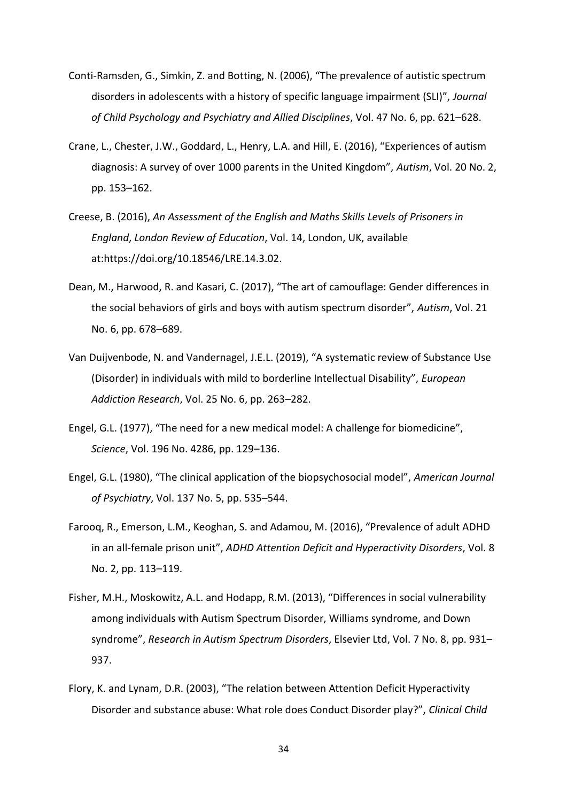- Conti-Ramsden, G., Simkin, Z. and Botting, N. (2006), "The prevalence of autistic spectrum disorders in adolescents with a history of specific language impairment (SLI)", *Journal of Child Psychology and Psychiatry and Allied Disciplines*, Vol. 47 No. 6, pp. 621–628.
- Crane, L., Chester, J.W., Goddard, L., Henry, L.A. and Hill, E. (2016), "Experiences of autism diagnosis: A survey of over 1000 parents in the United Kingdom", *Autism*, Vol. 20 No. 2, pp. 153–162.
- Creese, B. (2016), *An Assessment of the English and Maths Skills Levels of Prisoners in England*, *London Review of Education*, Vol. 14, London, UK, available at:https://doi.org/10.18546/LRE.14.3.02.
- Dean, M., Harwood, R. and Kasari, C. (2017), "The art of camouflage: Gender differences in the social behaviors of girls and boys with autism spectrum disorder", *Autism*, Vol. 21 No. 6, pp. 678–689.
- Van Duijvenbode, N. and Vandernagel, J.E.L. (2019), "A systematic review of Substance Use (Disorder) in individuals with mild to borderline Intellectual Disability", *European Addiction Research*, Vol. 25 No. 6, pp. 263–282.
- Engel, G.L. (1977), "The need for a new medical model: A challenge for biomedicine", *Science*, Vol. 196 No. 4286, pp. 129–136.
- Engel, G.L. (1980), "The clinical application of the biopsychosocial model", *American Journal of Psychiatry*, Vol. 137 No. 5, pp. 535–544.
- Farooq, R., Emerson, L.M., Keoghan, S. and Adamou, M. (2016), "Prevalence of adult ADHD in an all-female prison unit", *ADHD Attention Deficit and Hyperactivity Disorders*, Vol. 8 No. 2, pp. 113–119.
- Fisher, M.H., Moskowitz, A.L. and Hodapp, R.M. (2013), "Differences in social vulnerability among individuals with Autism Spectrum Disorder, Williams syndrome, and Down syndrome", *Research in Autism Spectrum Disorders*, Elsevier Ltd, Vol. 7 No. 8, pp. 931– 937.
- Flory, K. and Lynam, D.R. (2003), "The relation between Attention Deficit Hyperactivity Disorder and substance abuse: What role does Conduct Disorder play?", *Clinical Child*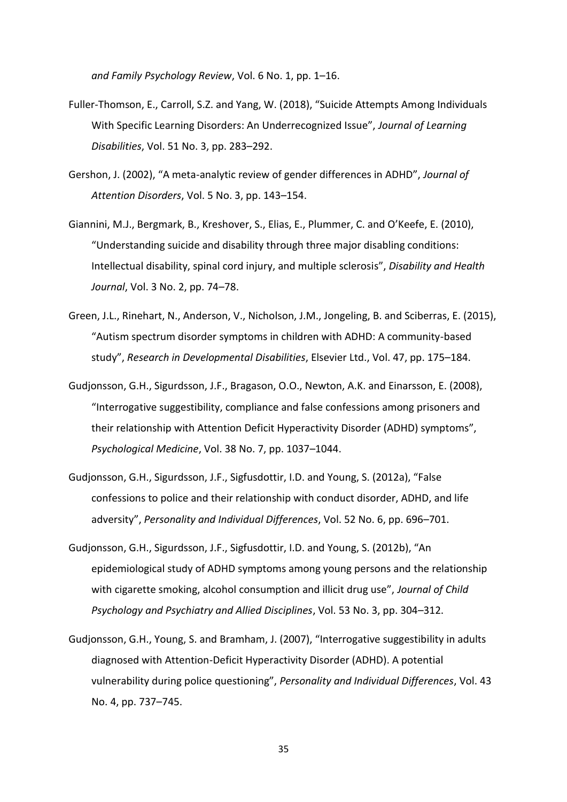*and Family Psychology Review*, Vol. 6 No. 1, pp. 1–16.

- Fuller-Thomson, E., Carroll, S.Z. and Yang, W. (2018), "Suicide Attempts Among Individuals With Specific Learning Disorders: An Underrecognized Issue", *Journal of Learning Disabilities*, Vol. 51 No. 3, pp. 283–292.
- Gershon, J. (2002), "A meta-analytic review of gender differences in ADHD", *Journal of Attention Disorders*, Vol. 5 No. 3, pp. 143–154.
- Giannini, M.J., Bergmark, B., Kreshover, S., Elias, E., Plummer, C. and O'Keefe, E. (2010), "Understanding suicide and disability through three major disabling conditions: Intellectual disability, spinal cord injury, and multiple sclerosis", *Disability and Health Journal*, Vol. 3 No. 2, pp. 74–78.
- Green, J.L., Rinehart, N., Anderson, V., Nicholson, J.M., Jongeling, B. and Sciberras, E. (2015), "Autism spectrum disorder symptoms in children with ADHD: A community-based study", *Research in Developmental Disabilities*, Elsevier Ltd., Vol. 47, pp. 175–184.
- Gudjonsson, G.H., Sigurdsson, J.F., Bragason, O.O., Newton, A.K. and Einarsson, E. (2008), "Interrogative suggestibility, compliance and false confessions among prisoners and their relationship with Attention Deficit Hyperactivity Disorder (ADHD) symptoms", *Psychological Medicine*, Vol. 38 No. 7, pp. 1037–1044.
- Gudjonsson, G.H., Sigurdsson, J.F., Sigfusdottir, I.D. and Young, S. (2012a), "False confessions to police and their relationship with conduct disorder, ADHD, and life adversity", *Personality and Individual Differences*, Vol. 52 No. 6, pp. 696–701.
- Gudjonsson, G.H., Sigurdsson, J.F., Sigfusdottir, I.D. and Young, S. (2012b), "An epidemiological study of ADHD symptoms among young persons and the relationship with cigarette smoking, alcohol consumption and illicit drug use", *Journal of Child Psychology and Psychiatry and Allied Disciplines*, Vol. 53 No. 3, pp. 304–312.
- Gudjonsson, G.H., Young, S. and Bramham, J. (2007), "Interrogative suggestibility in adults diagnosed with Attention-Deficit Hyperactivity Disorder (ADHD). A potential vulnerability during police questioning", *Personality and Individual Differences*, Vol. 43 No. 4, pp. 737–745.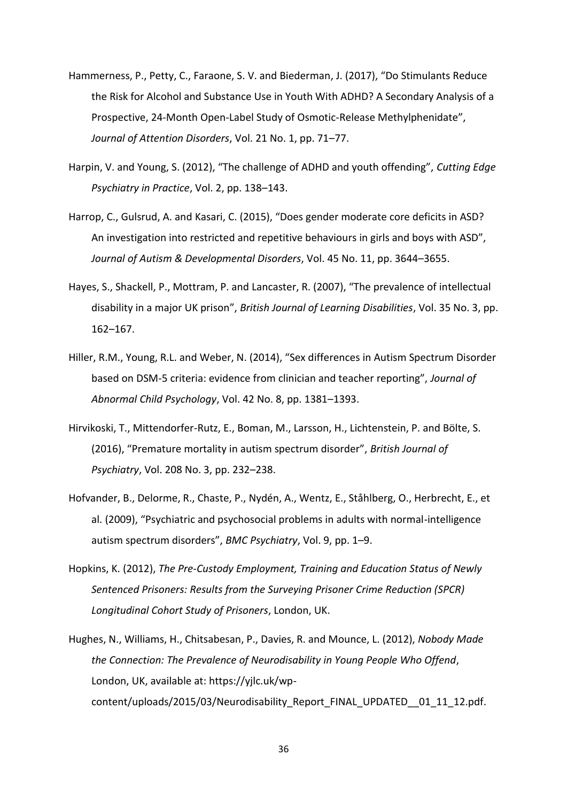- Hammerness, P., Petty, C., Faraone, S. V. and Biederman, J. (2017), "Do Stimulants Reduce the Risk for Alcohol and Substance Use in Youth With ADHD? A Secondary Analysis of a Prospective, 24-Month Open-Label Study of Osmotic-Release Methylphenidate", *Journal of Attention Disorders*, Vol. 21 No. 1, pp. 71–77.
- Harpin, V. and Young, S. (2012), "The challenge of ADHD and youth offending", *Cutting Edge Psychiatry in Practice*, Vol. 2, pp. 138–143.
- Harrop, C., Gulsrud, A. and Kasari, C. (2015), "Does gender moderate core deficits in ASD? An investigation into restricted and repetitive behaviours in girls and boys with ASD", *Journal of Autism & Developmental Disorders*, Vol. 45 No. 11, pp. 3644–3655.
- Hayes, S., Shackell, P., Mottram, P. and Lancaster, R. (2007), "The prevalence of intellectual disability in a major UK prison", *British Journal of Learning Disabilities*, Vol. 35 No. 3, pp. 162–167.
- Hiller, R.M., Young, R.L. and Weber, N. (2014), "Sex differences in Autism Spectrum Disorder based on DSM-5 criteria: evidence from clinician and teacher reporting", *Journal of Abnormal Child Psychology*, Vol. 42 No. 8, pp. 1381–1393.
- Hirvikoski, T., Mittendorfer-Rutz, E., Boman, M., Larsson, H., Lichtenstein, P. and Bölte, S. (2016), "Premature mortality in autism spectrum disorder", *British Journal of Psychiatry*, Vol. 208 No. 3, pp. 232–238.
- Hofvander, B., Delorme, R., Chaste, P., Nydén, A., Wentz, E., Ståhlberg, O., Herbrecht, E., et al. (2009), "Psychiatric and psychosocial problems in adults with normal-intelligence autism spectrum disorders", *BMC Psychiatry*, Vol. 9, pp. 1–9.
- Hopkins, K. (2012), *The Pre-Custody Employment, Training and Education Status of Newly Sentenced Prisoners: Results from the Surveying Prisoner Crime Reduction (SPCR) Longitudinal Cohort Study of Prisoners*, London, UK.
- Hughes, N., Williams, H., Chitsabesan, P., Davies, R. and Mounce, L. (2012), *Nobody Made the Connection: The Prevalence of Neurodisability in Young People Who Offend*, London, UK, available at: https://yjlc.uk/wpcontent/uploads/2015/03/Neurodisability\_Report\_FINAL\_UPDATED\_\_01\_11\_12.pdf.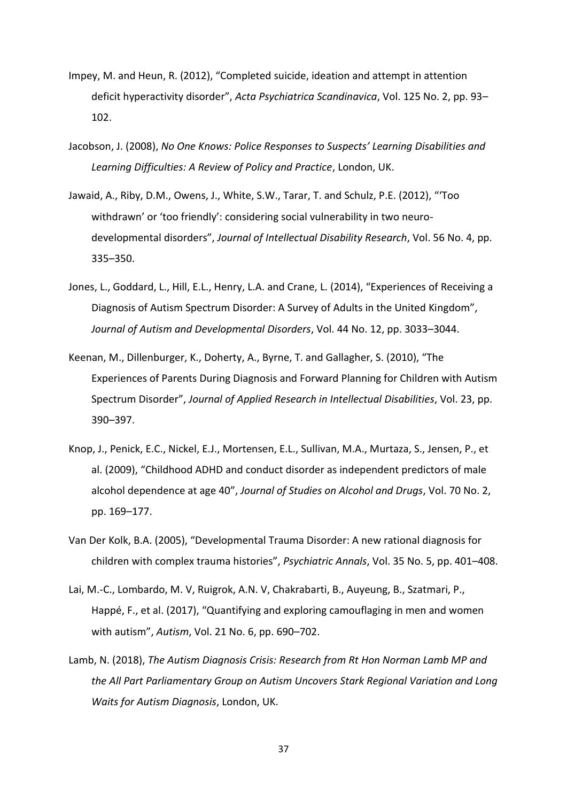- Impey, M. and Heun, R. (2012), "Completed suicide, ideation and attempt in attention deficit hyperactivity disorder", *Acta Psychiatrica Scandinavica*, Vol. 125 No. 2, pp. 93– 102.
- Jacobson, J. (2008), *No One Knows: Police Responses to Suspects' Learning Disabilities and Learning Difficulties: A Review of Policy and Practice*, London, UK.
- Jawaid, A., Riby, D.M., Owens, J., White, S.W., Tarar, T. and Schulz, P.E. (2012), "'Too withdrawn' or 'too friendly': considering social vulnerability in two neurodevelopmental disorders", *Journal of Intellectual Disability Research*, Vol. 56 No. 4, pp. 335–350.
- Jones, L., Goddard, L., Hill, E.L., Henry, L.A. and Crane, L. (2014), "Experiences of Receiving a Diagnosis of Autism Spectrum Disorder: A Survey of Adults in the United Kingdom", *Journal of Autism and Developmental Disorders*, Vol. 44 No. 12, pp. 3033–3044.
- Keenan, M., Dillenburger, K., Doherty, A., Byrne, T. and Gallagher, S. (2010), "The Experiences of Parents During Diagnosis and Forward Planning for Children with Autism Spectrum Disorder", *Journal of Applied Research in Intellectual Disabilities*, Vol. 23, pp. 390–397.
- Knop, J., Penick, E.C., Nickel, E.J., Mortensen, E.L., Sullivan, M.A., Murtaza, S., Jensen, P., et al. (2009), "Childhood ADHD and conduct disorder as independent predictors of male alcohol dependence at age 40", *Journal of Studies on Alcohol and Drugs*, Vol. 70 No. 2, pp. 169–177.
- Van Der Kolk, B.A. (2005), "Developmental Trauma Disorder: A new rational diagnosis for children with complex trauma histories", *Psychiatric Annals*, Vol. 35 No. 5, pp. 401–408.
- Lai, M.-C., Lombardo, M. V, Ruigrok, A.N. V, Chakrabarti, B., Auyeung, B., Szatmari, P., Happé, F., et al. (2017), "Quantifying and exploring camouflaging in men and women with autism", *Autism*, Vol. 21 No. 6, pp. 690–702.
- Lamb, N. (2018), *The Autism Diagnosis Crisis: Research from Rt Hon Norman Lamb MP and the All Part Parliamentary Group on Autism Uncovers Stark Regional Variation and Long Waits for Autism Diagnosis*, London, UK.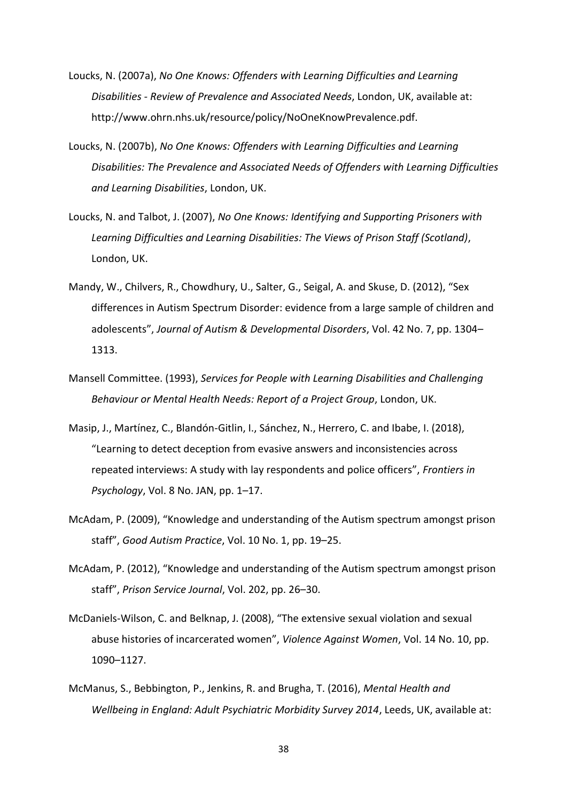- Loucks, N. (2007a), *No One Knows: Offenders with Learning Difficulties and Learning Disabilities - Review of Prevalence and Associated Needs*, London, UK, available at: http://www.ohrn.nhs.uk/resource/policy/NoOneKnowPrevalence.pdf.
- Loucks, N. (2007b), *No One Knows: Offenders with Learning Difficulties and Learning Disabilities: The Prevalence and Associated Needs of Offenders with Learning Difficulties and Learning Disabilities*, London, UK.
- Loucks, N. and Talbot, J. (2007), *No One Knows: Identifying and Supporting Prisoners with Learning Difficulties and Learning Disabilities: The Views of Prison Staff (Scotland)*, London, UK.
- Mandy, W., Chilvers, R., Chowdhury, U., Salter, G., Seigal, A. and Skuse, D. (2012), "Sex differences in Autism Spectrum Disorder: evidence from a large sample of children and adolescents", *Journal of Autism & Developmental Disorders*, Vol. 42 No. 7, pp. 1304– 1313.
- Mansell Committee. (1993), *Services for People with Learning Disabilities and Challenging Behaviour or Mental Health Needs: Report of a Project Group*, London, UK.
- Masip, J., Martínez, C., Blandón-Gitlin, I., Sánchez, N., Herrero, C. and Ibabe, I. (2018), "Learning to detect deception from evasive answers and inconsistencies across repeated interviews: A study with lay respondents and police officers", *Frontiers in Psychology*, Vol. 8 No. JAN, pp. 1–17.
- McAdam, P. (2009), "Knowledge and understanding of the Autism spectrum amongst prison staff", *Good Autism Practice*, Vol. 10 No. 1, pp. 19–25.
- McAdam, P. (2012), "Knowledge and understanding of the Autism spectrum amongst prison staff", *Prison Service Journal*, Vol. 202, pp. 26–30.
- McDaniels-Wilson, C. and Belknap, J. (2008), "The extensive sexual violation and sexual abuse histories of incarcerated women", *Violence Against Women*, Vol. 14 No. 10, pp. 1090–1127.
- McManus, S., Bebbington, P., Jenkins, R. and Brugha, T. (2016), *Mental Health and Wellbeing in England: Adult Psychiatric Morbidity Survey 2014*, Leeds, UK, available at: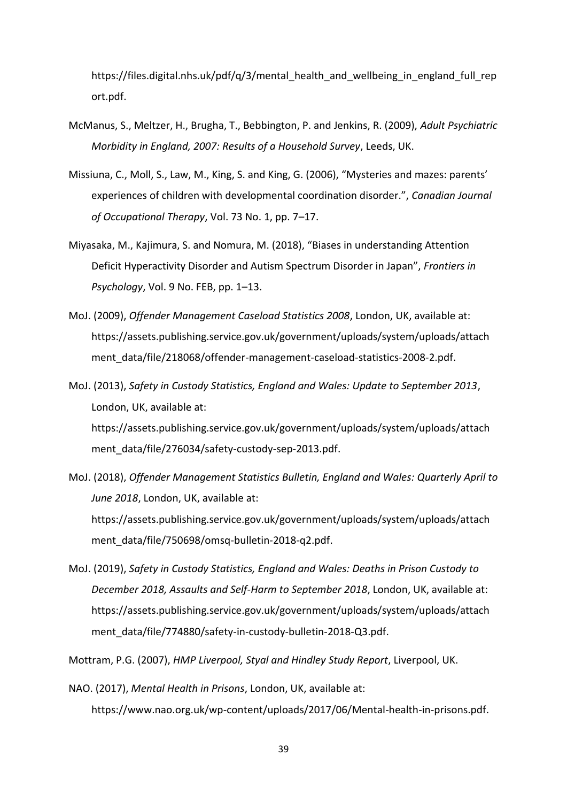https://files.digital.nhs.uk/pdf/q/3/mental\_health\_and\_wellbeing\_in\_england\_full\_rep ort.pdf.

- McManus, S., Meltzer, H., Brugha, T., Bebbington, P. and Jenkins, R. (2009), *Adult Psychiatric Morbidity in England, 2007: Results of a Household Survey*, Leeds, UK.
- Missiuna, C., Moll, S., Law, M., King, S. and King, G. (2006), "Mysteries and mazes: parents' experiences of children with developmental coordination disorder.", *Canadian Journal of Occupational Therapy*, Vol. 73 No. 1, pp. 7–17.
- Miyasaka, M., Kajimura, S. and Nomura, M. (2018), "Biases in understanding Attention Deficit Hyperactivity Disorder and Autism Spectrum Disorder in Japan", *Frontiers in Psychology*, Vol. 9 No. FEB, pp. 1–13.
- MoJ. (2009), *Offender Management Caseload Statistics 2008*, London, UK, available at: https://assets.publishing.service.gov.uk/government/uploads/system/uploads/attach ment\_data/file/218068/offender-management-caseload-statistics-2008-2.pdf.
- MoJ. (2013), *Safety in Custody Statistics, England and Wales: Update to September 2013*, London, UK, available at: https://assets.publishing.service.gov.uk/government/uploads/system/uploads/attach ment\_data/file/276034/safety-custody-sep-2013.pdf.
- MoJ. (2018), *Offender Management Statistics Bulletin, England and Wales: Quarterly April to June 2018*, London, UK, available at: https://assets.publishing.service.gov.uk/government/uploads/system/uploads/attach ment\_data/file/750698/omsq-bulletin-2018-q2.pdf.
- MoJ. (2019), *Safety in Custody Statistics, England and Wales: Deaths in Prison Custody to December 2018, Assaults and Self-Harm to September 2018*, London, UK, available at: https://assets.publishing.service.gov.uk/government/uploads/system/uploads/attach ment\_data/file/774880/safety-in-custody-bulletin-2018-Q3.pdf.

Mottram, P.G. (2007), *HMP Liverpool, Styal and Hindley Study Report*, Liverpool, UK.

NAO. (2017), *Mental Health in Prisons*, London, UK, available at: https://www.nao.org.uk/wp-content/uploads/2017/06/Mental-health-in-prisons.pdf.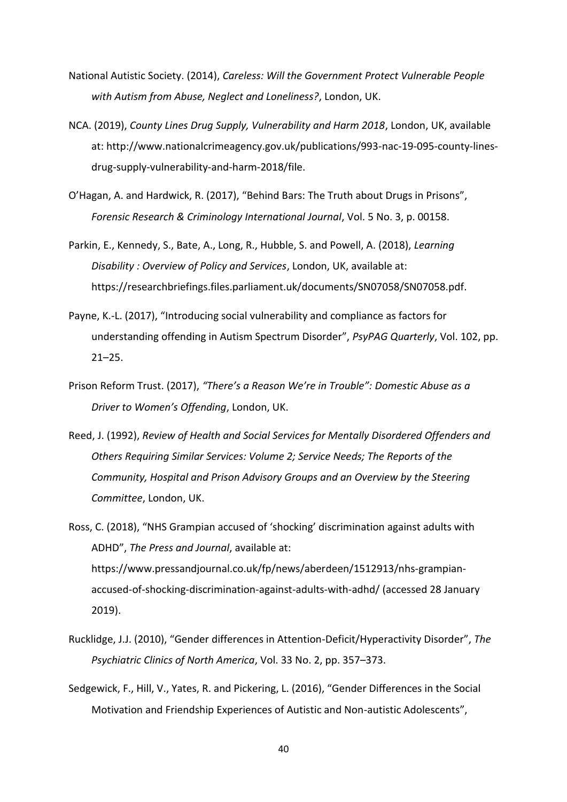- National Autistic Society. (2014), *Careless: Will the Government Protect Vulnerable People with Autism from Abuse, Neglect and Loneliness?*, London, UK.
- NCA. (2019), *County Lines Drug Supply, Vulnerability and Harm 2018*, London, UK, available at: http://www.nationalcrimeagency.gov.uk/publications/993-nac-19-095-county-linesdrug-supply-vulnerability-and-harm-2018/file.
- O'Hagan, A. and Hardwick, R. (2017), "Behind Bars: The Truth about Drugs in Prisons", *Forensic Research & Criminology International Journal*, Vol. 5 No. 3, p. 00158.
- Parkin, E., Kennedy, S., Bate, A., Long, R., Hubble, S. and Powell, A. (2018), *Learning Disability : Overview of Policy and Services*, London, UK, available at: https://researchbriefings.files.parliament.uk/documents/SN07058/SN07058.pdf.
- Payne, K.-L. (2017), "Introducing social vulnerability and compliance as factors for understanding offending in Autism Spectrum Disorder", *PsyPAG Quarterly*, Vol. 102, pp.  $21 - 25.$
- Prison Reform Trust. (2017), *"There's a Reason We're in Trouble": Domestic Abuse as a Driver to Women's Offending*, London, UK.
- Reed, J. (1992), *Review of Health and Social Services for Mentally Disordered Offenders and Others Requiring Similar Services: Volume 2; Service Needs; The Reports of the Community, Hospital and Prison Advisory Groups and an Overview by the Steering Committee*, London, UK.
- Ross, C. (2018), "NHS Grampian accused of 'shocking' discrimination against adults with ADHD", *The Press and Journal*, available at: https://www.pressandjournal.co.uk/fp/news/aberdeen/1512913/nhs-grampianaccused-of-shocking-discrimination-against-adults-with-adhd/ (accessed 28 January 2019).
- Rucklidge, J.J. (2010), "Gender differences in Attention-Deficit/Hyperactivity Disorder", *The Psychiatric Clinics of North America*, Vol. 33 No. 2, pp. 357–373.
- Sedgewick, F., Hill, V., Yates, R. and Pickering, L. (2016), "Gender Differences in the Social Motivation and Friendship Experiences of Autistic and Non-autistic Adolescents",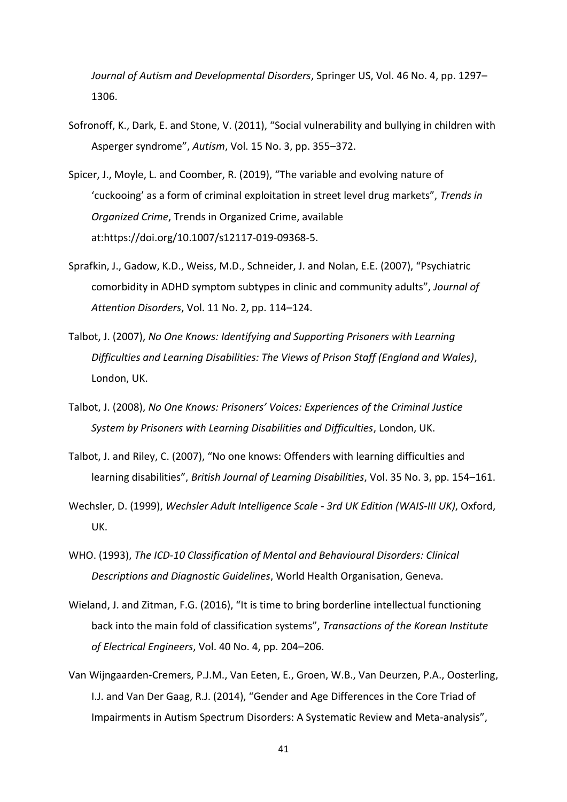*Journal of Autism and Developmental Disorders*, Springer US, Vol. 46 No. 4, pp. 1297– 1306.

- Sofronoff, K., Dark, E. and Stone, V. (2011), "Social vulnerability and bullying in children with Asperger syndrome", *Autism*, Vol. 15 No. 3, pp. 355–372.
- Spicer, J., Moyle, L. and Coomber, R. (2019), "The variable and evolving nature of 'cuckooing' as a form of criminal exploitation in street level drug markets", *Trends in Organized Crime*, Trends in Organized Crime, available at:https://doi.org/10.1007/s12117-019-09368-5.
- Sprafkin, J., Gadow, K.D., Weiss, M.D., Schneider, J. and Nolan, E.E. (2007), "Psychiatric comorbidity in ADHD symptom subtypes in clinic and community adults", *Journal of Attention Disorders*, Vol. 11 No. 2, pp. 114–124.
- Talbot, J. (2007), *No One Knows: Identifying and Supporting Prisoners with Learning Difficulties and Learning Disabilities: The Views of Prison Staff (England and Wales)*, London, UK.
- Talbot, J. (2008), *No One Knows: Prisoners' Voices: Experiences of the Criminal Justice System by Prisoners with Learning Disabilities and Difficulties*, London, UK.
- Talbot, J. and Riley, C. (2007), "No one knows: Offenders with learning difficulties and learning disabilities", *British Journal of Learning Disabilities*, Vol. 35 No. 3, pp. 154–161.
- Wechsler, D. (1999), *Wechsler Adult Intelligence Scale - 3rd UK Edition (WAIS-III UK)*, Oxford, UK.
- WHO. (1993), *The ICD-10 Classification of Mental and Behavioural Disorders: Clinical Descriptions and Diagnostic Guidelines*, World Health Organisation, Geneva.
- Wieland, J. and Zitman, F.G. (2016), "It is time to bring borderline intellectual functioning back into the main fold of classification systems", *Transactions of the Korean Institute of Electrical Engineers*, Vol. 40 No. 4, pp. 204–206.
- Van Wijngaarden-Cremers, P.J.M., Van Eeten, E., Groen, W.B., Van Deurzen, P.A., Oosterling, I.J. and Van Der Gaag, R.J. (2014), "Gender and Age Differences in the Core Triad of Impairments in Autism Spectrum Disorders: A Systematic Review and Meta-analysis",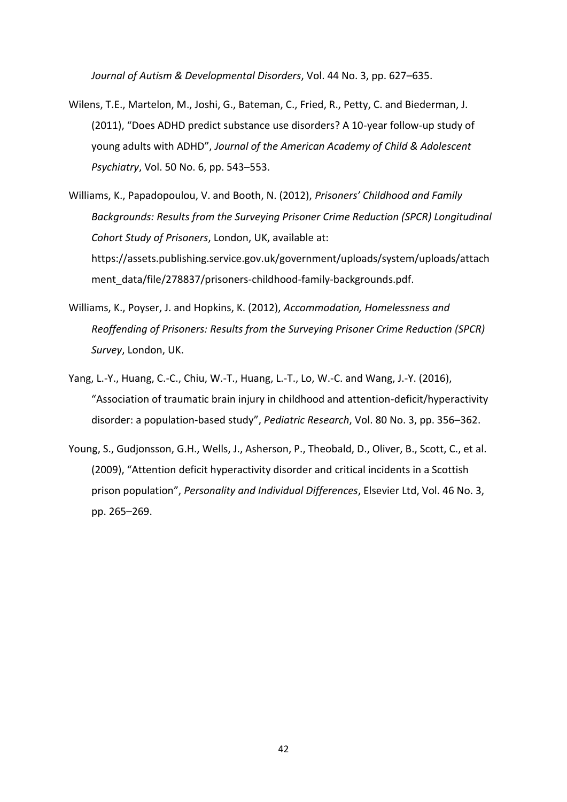*Journal of Autism & Developmental Disorders*, Vol. 44 No. 3, pp. 627–635.

- Wilens, T.E., Martelon, M., Joshi, G., Bateman, C., Fried, R., Petty, C. and Biederman, J. (2011), "Does ADHD predict substance use disorders? A 10-year follow-up study of young adults with ADHD", *Journal of the American Academy of Child & Adolescent Psychiatry*, Vol. 50 No. 6, pp. 543–553.
- Williams, K., Papadopoulou, V. and Booth, N. (2012), *Prisoners' Childhood and Family Backgrounds: Results from the Surveying Prisoner Crime Reduction (SPCR) Longitudinal Cohort Study of Prisoners*, London, UK, available at: https://assets.publishing.service.gov.uk/government/uploads/system/uploads/attach ment\_data/file/278837/prisoners-childhood-family-backgrounds.pdf.
- Williams, K., Poyser, J. and Hopkins, K. (2012), *Accommodation, Homelessness and Reoffending of Prisoners: Results from the Surveying Prisoner Crime Reduction (SPCR) Survey*, London, UK.
- Yang, L.-Y., Huang, C.-C., Chiu, W.-T., Huang, L.-T., Lo, W.-C. and Wang, J.-Y. (2016), "Association of traumatic brain injury in childhood and attention-deficit/hyperactivity disorder: a population-based study", *Pediatric Research*, Vol. 80 No. 3, pp. 356–362.
- Young, S., Gudjonsson, G.H., Wells, J., Asherson, P., Theobald, D., Oliver, B., Scott, C., et al. (2009), "Attention deficit hyperactivity disorder and critical incidents in a Scottish prison population", *Personality and Individual Differences*, Elsevier Ltd, Vol. 46 No. 3, pp. 265–269.